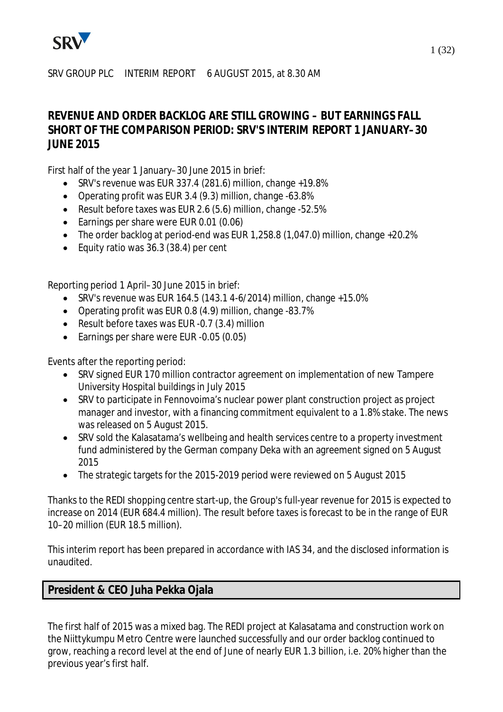

# SRV GROUP PLC INTERIM REPORT 6 AUGUST 2015, at 8.30 AM

# **REVENUE AND ORDER BACKLOG ARE STILL GROWING – BUT EARNINGS FALL SHORT OF THE COMPARISON PERIOD: SRV'S INTERIM REPORT 1 JANUARY–30 JUNE 2015**

First half of the year 1 January–30 June 2015 in brief:

- · SRV's revenue was EUR 337.4 (281.6) million, change +19.8%
- · Operating profit was EUR 3.4 (9.3) million, change -63.8%
- · Result before taxes was EUR 2.6 (5.6) million, change -52.5%
- · Earnings per share were EUR 0.01 (0.06)
- · The order backlog at period-end was EUR 1,258.8 (1,047.0) million, change +20.2%
- · Equity ratio was 36.3 (38.4) per cent

Reporting period 1 April–30 June 2015 in brief:

- SRV's revenue was EUR 164.5 (143.1 4-6/2014) million, change  $+15.0\%$
- · Operating profit was EUR 0.8 (4.9) million, change -83.7%
- · Result before taxes was EUR -0.7 (3.4) million
- Earnings per share were EUR -0.05 (0.05)

Events after the reporting period:

- · SRV signed EUR 170 million contractor agreement on implementation of new Tampere University Hospital buildings in July 2015
- · SRV to participate in Fennovoima's nuclear power plant construction project as project manager and investor, with a financing commitment equivalent to a 1.8% stake. The news was released on 5 August 2015.
- · SRV sold the Kalasatama's wellbeing and health services centre to a property investment fund administered by the German company Deka with an agreement signed on 5 August 2015
- · The strategic targets for the 2015-2019 period were reviewed on 5 August 2015

Thanks to the REDI shopping centre start-up, the Group's full-year revenue for 2015 is expected to increase on 2014 (EUR 684.4 million). The result before taxes is forecast to be in the range of EUR 10–20 million (EUR 18.5 million).

This interim report has been prepared in accordance with IAS 34, and the disclosed information is unaudited.

# **President & CEO Juha Pekka Ojala**

The first half of 2015 was a mixed bag. The REDI project at Kalasatama and construction work on the Niittykumpu Metro Centre were launched successfully and our order backlog continued to grow, reaching a record level at the end of June of nearly EUR 1.3 billion, i.e. 20% higher than the previous year's first half.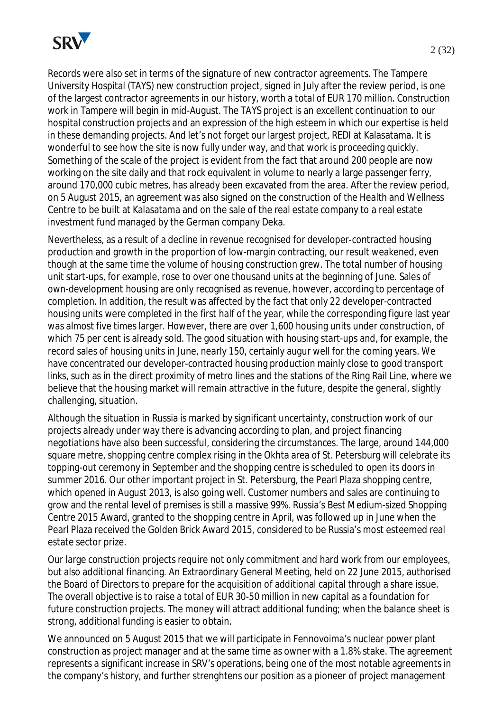

Records were also set in terms of the signature of new contractor agreements. The Tampere University Hospital (TAYS) new construction project, signed in July after the review period, is one of the largest contractor agreements in our history, worth a total of EUR 170 million. Construction work in Tampere will begin in mid-August. The TAYS project is an excellent continuation to our hospital construction projects and an expression of the high esteem in which our expertise is held in these demanding projects. And let's not forget our largest project, REDI at Kalasatama. It is wonderful to see how the site is now fully under way, and that work is proceeding quickly. Something of the scale of the project is evident from the fact that around 200 people are now working on the site daily and that rock equivalent in volume to nearly a large passenger ferry, around 170,000 cubic metres, has already been excavated from the area. After the review period, on 5 August 2015, an agreement was also signed on the construction of the Health and Wellness Centre to be built at Kalasatama and on the sale of the real estate company to a real estate investment fund managed by the German company Deka.

Nevertheless, as a result of a decline in revenue recognised for developer-contracted housing production and growth in the proportion of low-margin contracting, our result weakened, even though at the same time the volume of housing construction grew. The total number of housing unit start-ups, for example, rose to over one thousand units at the beginning of June. Sales of own-development housing are only recognised as revenue, however, according to percentage of completion. In addition, the result was affected by the fact that only 22 developer-contracted housing units were completed in the first half of the year, while the corresponding figure last year was almost five times larger. However, there are over 1,600 housing units under construction, of which 75 per cent is already sold. The good situation with housing start-ups and, for example, the record sales of housing units in June, nearly 150, certainly augur well for the coming years. We have concentrated our developer-contracted housing production mainly close to good transport links, such as in the direct proximity of metro lines and the stations of the Ring Rail Line, where we believe that the housing market will remain attractive in the future, despite the general, slightly challenging, situation.

Although the situation in Russia is marked by significant uncertainty, construction work of our projects already under way there is advancing according to plan, and project financing negotiations have also been successful, considering the circumstances. The large, around 144,000 square metre, shopping centre complex rising in the Okhta area of St. Petersburg will celebrate its topping-out ceremony in September and the shopping centre is scheduled to open its doors in summer 2016. Our other important project in St. Petersburg, the Pearl Plaza shopping centre, which opened in August 2013, is also going well. Customer numbers and sales are continuing to grow and the rental level of premises is still a massive 99%. Russia's Best Medium-sized Shopping Centre 2015 Award, granted to the shopping centre in April, was followed up in June when the Pearl Plaza received the Golden Brick Award 2015, considered to be Russia's most esteemed real estate sector prize.

Our large construction projects require not only commitment and hard work from our employees, but also additional financing. An Extraordinary General Meeting, held on 22 June 2015, authorised the Board of Directors to prepare for the acquisition of additional capital through a share issue. The overall objective is to raise a total of EUR 30-50 million in new capital as a foundation for future construction projects. The money will attract additional funding; when the balance sheet is strong, additional funding is easier to obtain.

We announced on 5 August 2015 that we will participate in Fennovoima's nuclear power plant construction as project manager and at the same time as owner with a 1.8% stake. The agreement represents a significant increase in SRV's operations, being one of the most notable agreements in the company's history, and further strenghtens our position as a pioneer of project management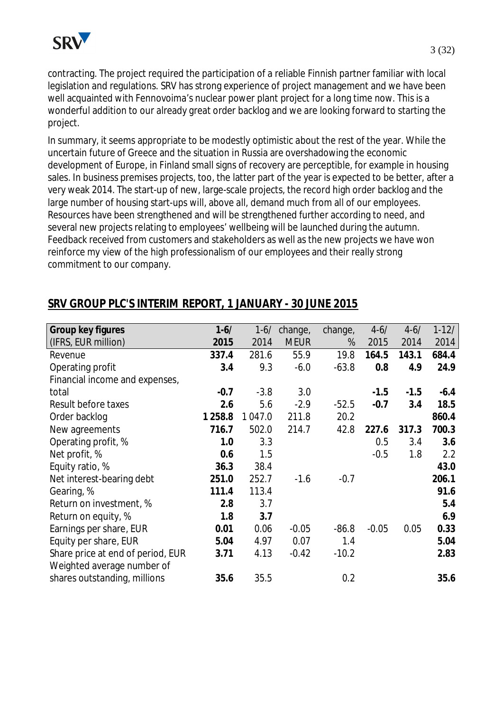

contracting. The project required the participation of a reliable Finnish partner familiar with local legislation and regulations. SRV has strong experience of project management and we have been well acquainted with Fennovoima's nuclear power plant project for a long time now. This is a wonderful addition to our already great order backlog and we are looking forward to starting the project.

In summary, it seems appropriate to be modestly optimistic about the rest of the year. While the uncertain future of Greece and the situation in Russia are overshadowing the economic development of Europe, in Finland small signs of recovery are perceptible, for example in housing sales. In business premises projects, too, the latter part of the year is expected to be better, after a very weak 2014. The start-up of new, large-scale projects, the record high order backlog and the large number of housing start-ups will, above all, demand much from all of our employees. Resources have been strengthened and will be strengthened further according to need, and several new projects relating to employees' wellbeing will be launched during the autumn. Feedback received from customers and stakeholders as well as the new projects we have won reinforce my view of the high professionalism of our employees and their really strong commitment to our company.

| Group key figures                 | $1 - 6/$  |         | $1-6/$ change, | change, | $4 - 6/$ | $4 - 6/$ | $1-12/$ |
|-----------------------------------|-----------|---------|----------------|---------|----------|----------|---------|
| (IFRS, EUR million)               | 2015      | 2014    | <b>MEUR</b>    | %       | 2015     | 2014     | 2014    |
| Revenue                           | 337.4     | 281.6   | 55.9           | 19.8    | 164.5    | 143.1    | 684.4   |
| Operating profit                  | 3.4       | 9.3     | $-6.0$         | $-63.8$ | 0.8      | 4.9      | 24.9    |
| Financial income and expenses,    |           |         |                |         |          |          |         |
| total                             | $-0.7$    | $-3.8$  | 3.0            |         | $-1.5$   | $-1.5$   | $-6.4$  |
| Result before taxes               | 2.6       | 5.6     | $-2.9$         | $-52.5$ | $-0.7$   | 3.4      | 18.5    |
| Order backlog                     | 1 2 5 8.8 | 1 047.0 | 211.8          | 20.2    |          |          | 860.4   |
| New agreements                    | 716.7     | 502.0   | 214.7          | 42.8    | 227.6    | 317.3    | 700.3   |
| Operating profit, %               | 1.0       | 3.3     |                |         | 0.5      | 3.4      | 3.6     |
| Net profit, %                     | 0.6       | 1.5     |                |         | $-0.5$   | 1.8      | 2.2     |
| Equity ratio, %                   | 36.3      | 38.4    |                |         |          |          | 43.0    |
| Net interest-bearing debt         | 251.0     | 252.7   | $-1.6$         | $-0.7$  |          |          | 206.1   |
| Gearing, %                        | 111.4     | 113.4   |                |         |          |          | 91.6    |
| Return on investment, %           | 2.8       | 3.7     |                |         |          |          | 5.4     |
| Return on equity, %               | 1.8       | 3.7     |                |         |          |          | 6.9     |
| Earnings per share, EUR           | 0.01      | 0.06    | $-0.05$        | $-86.8$ | $-0.05$  | 0.05     | 0.33    |
| Equity per share, EUR             | 5.04      | 4.97    | 0.07           | 1.4     |          |          | 5.04    |
| Share price at end of period, EUR | 3.71      | 4.13    | $-0.42$        | $-10.2$ |          |          | 2.83    |
| Weighted average number of        |           |         |                |         |          |          |         |
| shares outstanding, millions      | 35.6      | 35.5    |                | 0.2     |          |          | 35.6    |
|                                   |           |         |                |         |          |          |         |

# **SRV GROUP PLC'S INTERIM REPORT, 1 JANUARY - 30 JUNE 2015**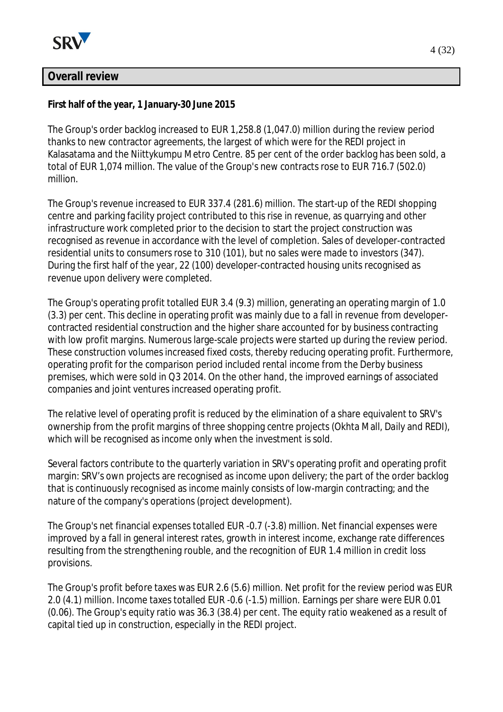

# **Overall review**

**First half of the year, 1 January-30 June 2015**

The Group's order backlog increased to EUR 1,258.8 (1,047.0) million during the review period thanks to new contractor agreements, the largest of which were for the REDI project in Kalasatama and the Niittykumpu Metro Centre. 85 per cent of the order backlog has been sold, a total of EUR 1,074 million. The value of the Group's new contracts rose to EUR 716.7 (502.0) million.

The Group's revenue increased to EUR 337.4 (281.6) million. The start-up of the REDI shopping centre and parking facility project contributed to this rise in revenue, as quarrying and other infrastructure work completed prior to the decision to start the project construction was recognised as revenue in accordance with the level of completion. Sales of developer-contracted residential units to consumers rose to 310 (101), but no sales were made to investors (347). During the first half of the year, 22 (100) developer-contracted housing units recognised as revenue upon delivery were completed.

The Group's operating profit totalled EUR 3.4 (9.3) million, generating an operating margin of 1.0 (3.3) per cent. This decline in operating profit was mainly due to a fall in revenue from developercontracted residential construction and the higher share accounted for by business contracting with low profit margins. Numerous large-scale projects were started up during the review period. These construction volumes increased fixed costs, thereby reducing operating profit. Furthermore, operating profit for the comparison period included rental income from the Derby business premises, which were sold in Q3 2014. On the other hand, the improved earnings of associated companies and joint ventures increased operating profit.

The relative level of operating profit is reduced by the elimination of a share equivalent to SRV's ownership from the profit margins of three shopping centre projects (Okhta Mall, Daily and REDI), which will be recognised as income only when the investment is sold.

Several factors contribute to the quarterly variation in SRV's operating profit and operating profit margin: SRV's own projects are recognised as income upon delivery; the part of the order backlog that is continuously recognised as income mainly consists of low-margin contracting; and the nature of the company's operations (project development).

The Group's net financial expenses totalled EUR -0.7 (-3.8) million. Net financial expenses were improved by a fall in general interest rates, growth in interest income, exchange rate differences resulting from the strengthening rouble, and the recognition of EUR 1.4 million in credit loss provisions.

The Group's profit before taxes was EUR 2.6 (5.6) million. Net profit for the review period was EUR 2.0 (4.1) million. Income taxes totalled EUR -0.6 (-1.5) million. Earnings per share were EUR 0.01 (0.06). The Group's equity ratio was 36.3 (38.4) per cent. The equity ratio weakened as a result of capital tied up in construction, especially in the REDI project.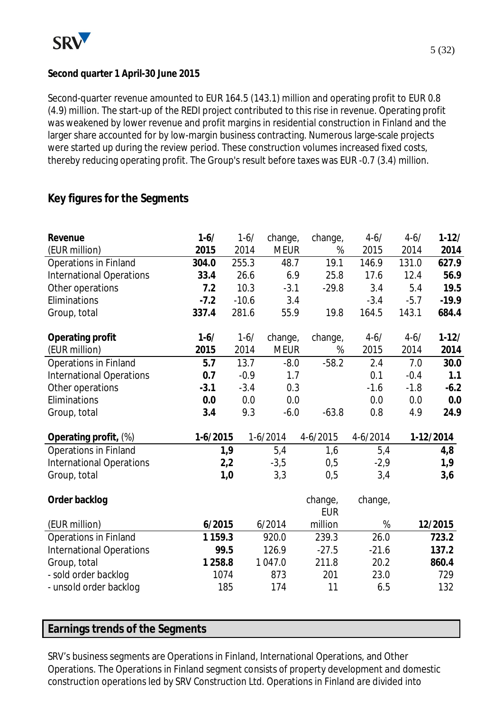

# **Second quarter 1 April-30 June 2015**

Second-quarter revenue amounted to EUR 164.5 (143.1) million and operating profit to EUR 0.8 (4.9) million. The start-up of the REDI project contributed to this rise in revenue. Operating profit was weakened by lower revenue and profit margins in residential construction in Finland and the larger share accounted for by low-margin business contracting. Numerous large-scale projects were started up during the review period. These construction volumes increased fixed costs, thereby reducing operating profit. The Group's result before taxes was EUR -0.7 (3.4) million.

# **Key figures for the Segments**

| Revenue                         | $1 - 6/$    |         | $1 - 6/$   | change,     | change,               | $4 - 6/$ | $4 - 6/$ | $1 - 12/$ |
|---------------------------------|-------------|---------|------------|-------------|-----------------------|----------|----------|-----------|
| (EUR million)                   | 2015        | 2014    |            | <b>MEUR</b> | %                     | 2015     | 2014     | 2014      |
| <b>Operations in Finland</b>    | 304.0       | 255.3   |            | 48.7        | 19.1                  | 146.9    | 131.0    | 627.9     |
| <b>International Operations</b> | 33.4        | 26.6    |            | 6.9         | 25.8                  | 17.6     | 12.4     | 56.9      |
| Other operations                | 7.2         | 10.3    |            | $-3.1$      | $-29.8$               | 3.4      | 5.4      | 19.5      |
| Eliminations                    | $-7.2$      | $-10.6$ |            | 3.4         |                       | $-3.4$   | $-5.7$   | $-19.9$   |
| Group, total                    | 337.4       | 281.6   |            | 55.9        | 19.8                  | 164.5    | 143.1    | 684.4     |
| Operating profit                | $1-6/$      |         | $1 - 6/$   | change,     | change,               | $4 - 6/$ | $4 - 6/$ | $1 - 12/$ |
| (EUR million)                   | 2015        | 2014    |            | <b>MEUR</b> | %                     | 2015     | 2014     | 2014      |
| Operations in Finland           | 5.7         | 13.7    |            | $-8.0$      | $-58.2$               | 2.4      | 7.0      | 30.0      |
| <b>International Operations</b> | 0.7         |         | $-0.9$     | 1.7         |                       | 0.1      | $-0.4$   | 1.1       |
| Other operations                | $-3.1$      |         | $-3.4$     | 0.3         |                       | $-1.6$   | $-1.8$   | $-6.2$    |
| Eliminations                    | 0.0         |         | 0.0        | 0.0         |                       | 0.0      | 0.0      | 0.0       |
| Group, total                    | 3.4         |         | 9.3        | $-6.0$      | $-63.8$               | 0.8      | 4.9      | 24.9      |
| Operating profit, (%)           | $1-6/2015$  |         | $1-6/2014$ |             | 4-6/2015              | 4-6/2014 |          | 1-12/2014 |
| Operations in Finland           |             | 1,9     |            | 5,4         | 1,6                   | 5,4      |          | 4,8       |
| <b>International Operations</b> |             | 2,2     |            | $-3,5$      | 0,5                   | $-2,9$   |          | 1,9       |
| Group, total                    |             | 1,0     |            | 3,3         | 0,5                   | 3,4      |          | 3,6       |
| Order backlog                   |             |         |            |             | change,<br><b>EUR</b> | change,  |          |           |
| (EUR million)                   | 6/2015      |         |            | 6/2014      | million               | %        |          | 12/2015   |
| Operations in Finland           | 1 1 5 9 . 3 |         |            | 920.0       | 239.3                 | 26.0     |          | 723.2     |
| <b>International Operations</b> |             | 99.5    |            | 126.9       | $-27.5$               | $-21.6$  |          | 137.2     |
| Group, total                    | 1 2 5 8.8   |         |            | 1047.0      | 211.8                 | 20.2     |          | 860.4     |
| - sold order backlog            |             | 1074    |            | 873         | 201                   | 23.0     |          | 729       |
| - unsold order backlog          |             | 185     |            | 174         | 11                    | 6.5      |          | 132       |
|                                 |             |         |            |             |                       |          |          |           |

# **Earnings trends of the Segments**

SRV's business segments are Operations in Finland, International Operations, and Other Operations. The Operations in Finland segment consists of property development and domestic construction operations led by SRV Construction Ltd. Operations in Finland are divided into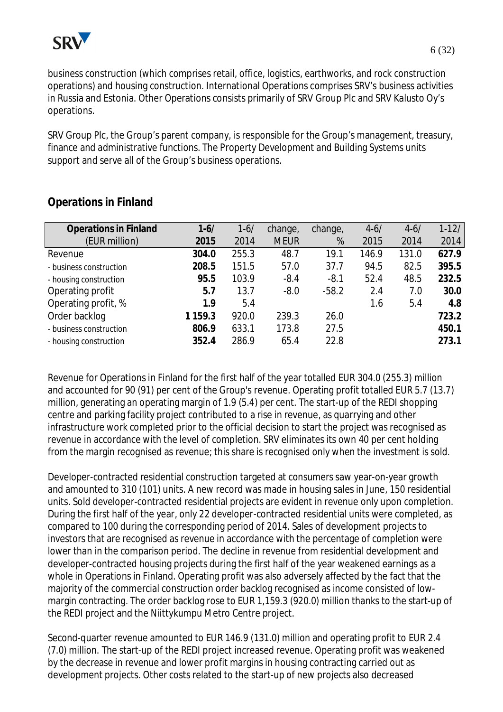

business construction (which comprises retail, office, logistics, earthworks, and rock construction operations) and housing construction. International Operations comprises SRV's business activities in Russia and Estonia. Other Operations consists primarily of SRV Group Plc and SRV Kalusto Oy's operations.

SRV Group Plc, the Group's parent company, is responsible for the Group's management, treasury, finance and administrative functions. The Property Development and Building Systems units support and serve all of the Group's business operations.

| <b>Operations in Finland</b> | $1 - 6/$ | $1 - 6/$ | change,     | change, | $4 - 6/$ | $4 - 6/$ | $1 - 12/$ |
|------------------------------|----------|----------|-------------|---------|----------|----------|-----------|
| (EUR million)                | 2015     | 2014     | <b>MEUR</b> | %       | 2015     | 2014     | 2014      |
| Revenue                      | 304.0    | 255.3    | 48.7        | 19.1    | 146.9    | 131.0    | 627.9     |
| - business construction      | 208.5    | 151.5    | 57.0        | 37.7    | 94.5     | 82.5     | 395.5     |
| - housing construction       | 95.5     | 103.9    | $-8.4$      | $-8.1$  | 52.4     | 48.5     | 232.5     |
| Operating profit             | 5.7      | 13.7     | $-8.0$      | $-58.2$ | 2.4      | 7.0      | 30.0      |
| Operating profit, %          | 1.9      | 5.4      |             |         | 1.6      | 5.4      | 4.8       |
| Order backlog                | 1159.3   | 920.0    | 239.3       | 26.0    |          |          | 723.2     |
| - business construction      | 806.9    | 633.1    | 173.8       | 27.5    |          |          | 450.1     |
| - housing construction       | 352.4    | 286.9    | 65.4        | 22.8    |          |          | 273.1     |

# **Operations in Finland**

Revenue for Operations in Finland for the first half of the year totalled EUR 304.0 (255.3) million and accounted for 90 (91) per cent of the Group's revenue. Operating profit totalled EUR 5.7 (13.7) million, generating an operating margin of 1.9 (5.4) per cent. The start-up of the REDI shopping centre and parking facility project contributed to a rise in revenue, as quarrying and other infrastructure work completed prior to the official decision to start the project was recognised as revenue in accordance with the level of completion. SRV eliminates its own 40 per cent holding from the margin recognised as revenue; this share is recognised only when the investment is sold.

Developer-contracted residential construction targeted at consumers saw year-on-year growth and amounted to 310 (101) units. A new record was made in housing sales in June, 150 residential units. Sold developer-contracted residential projects are evident in revenue only upon completion. During the first half of the year, only 22 developer-contracted residential units were completed, as compared to 100 during the corresponding period of 2014. Sales of development projects to investors that are recognised as revenue in accordance with the percentage of completion were lower than in the comparison period. The decline in revenue from residential development and developer-contracted housing projects during the first half of the year weakened earnings as a whole in Operations in Finland. Operating profit was also adversely affected by the fact that the majority of the commercial construction order backlog recognised as income consisted of lowmargin contracting. The order backlog rose to EUR 1,159.3 (920.0) million thanks to the start-up of the REDI project and the Niittykumpu Metro Centre project.

Second-quarter revenue amounted to EUR 146.9 (131.0) million and operating profit to EUR 2.4 (7.0) million. The start-up of the REDI project increased revenue. Operating profit was weakened by the decrease in revenue and lower profit margins in housing contracting carried out as development projects. Other costs related to the start-up of new projects also decreased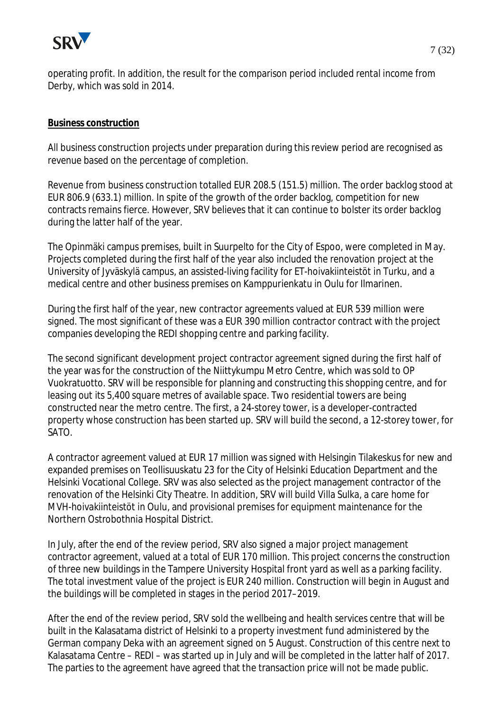

operating profit. In addition, the result for the comparison period included rental income from Derby, which was sold in 2014.

#### **Business construction**

All business construction projects under preparation during this review period are recognised as revenue based on the percentage of completion.

Revenue from business construction totalled EUR 208.5 (151.5) million. The order backlog stood at EUR 806.9 (633.1) million. In spite of the growth of the order backlog, competition for new contracts remains fierce. However, SRV believes that it can continue to bolster its order backlog during the latter half of the year.

The Opinmäki campus premises, built in Suurpelto for the City of Espoo, were completed in May. Projects completed during the first half of the year also included the renovation project at the University of Jyväskylä campus, an assisted-living facility for ET-hoivakiinteistöt in Turku, and a medical centre and other business premises on Kamppurienkatu in Oulu for Ilmarinen.

During the first half of the year, new contractor agreements valued at EUR 539 million were signed. The most significant of these was a EUR 390 million contractor contract with the project companies developing the REDI shopping centre and parking facility.

The second significant development project contractor agreement signed during the first half of the year was for the construction of the Niittykumpu Metro Centre, which was sold to OP Vuokratuotto. SRV will be responsible for planning and constructing this shopping centre, and for leasing out its 5,400 square metres of available space. Two residential towers are being constructed near the metro centre. The first, a 24-storey tower, is a developer-contracted property whose construction has been started up. SRV will build the second, a 12-storey tower, for SATO.

A contractor agreement valued at EUR 17 million was signed with Helsingin Tilakeskus for new and expanded premises on Teollisuuskatu 23 for the City of Helsinki Education Department and the Helsinki Vocational College. SRV was also selected as the project management contractor of the renovation of the Helsinki City Theatre. In addition, SRV will build Villa Sulka, a care home for MVH-hoivakiinteistöt in Oulu, and provisional premises for equipment maintenance for the Northern Ostrobothnia Hospital District.

In July, after the end of the review period, SRV also signed a major project management contractor agreement, valued at a total of EUR 170 million. This project concerns the construction of three new buildings in the Tampere University Hospital front yard as well as a parking facility. The total investment value of the project is EUR 240 million. Construction will begin in August and the buildings will be completed in stages in the period 2017–2019.

After the end of the review period, SRV sold the wellbeing and health services centre that will be built in the Kalasatama district of Helsinki to a property investment fund administered by the German company Deka with an agreement signed on 5 August. Construction of this centre next to Kalasatama Centre – REDI – was started up in July and will be completed in the latter half of 2017. The parties to the agreement have agreed that the transaction price will not be made public.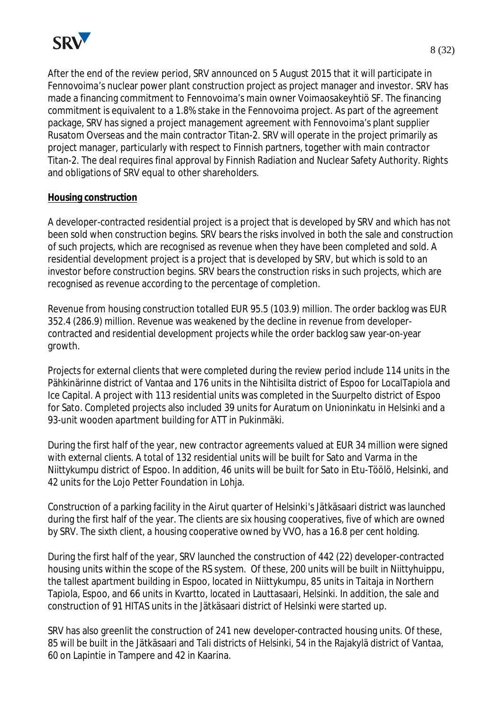

After the end of the review period, SRV announced on 5 August 2015 that it will participate in Fennovoima's nuclear power plant construction project as project manager and investor. SRV has made a financing commitment to Fennovoima's main owner Voimaosakeyhtiö SF. The financing commitment is equivalent to a 1.8% stake in the Fennovoima project. As part of the agreement package, SRV has signed a project management agreement with Fennovoima's plant supplier Rusatom Overseas and the main contractor Titan-2. SRV will operate in the project primarily as project manager, particularly with respect to Finnish partners, together with main contractor Titan-2. The deal requires final approval by Finnish Radiation and Nuclear Safety Authority. Rights and obligations of SRV equal to other shareholders.

## **Housing construction**

A developer-contracted residential project is a project that is developed by SRV and which has not been sold when construction begins. SRV bears the risks involved in both the sale and construction of such projects, which are recognised as revenue when they have been completed and sold. A residential development project is a project that is developed by SRV, but which is sold to an investor before construction begins. SRV bears the construction risks in such projects, which are recognised as revenue according to the percentage of completion.

Revenue from housing construction totalled EUR 95.5 (103.9) million. The order backlog was EUR 352.4 (286.9) million. Revenue was weakened by the decline in revenue from developercontracted and residential development projects while the order backlog saw year-on-year growth.

Projects for external clients that were completed during the review period include 114 units in the Pähkinärinne district of Vantaa and 176 units in the Nihtisilta district of Espoo for LocalTapiola and Ice Capital. A project with 113 residential units was completed in the Suurpelto district of Espoo for Sato. Completed projects also included 39 units for Auratum on Unioninkatu in Helsinki and a 93-unit wooden apartment building for ATT in Pukinmäki.

During the first half of the year, new contractor agreements valued at EUR 34 million were signed with external clients. A total of 132 residential units will be built for Sato and Varma in the Niittykumpu district of Espoo. In addition, 46 units will be built for Sato in Etu-Töölö, Helsinki, and 42 units for the Lojo Petter Foundation in Lohja.

ConstrucƟon of a parking facility in the Airut quarter of Helsinki's Jätkäsaari district was launched during the first half of the year. The clients are six housing cooperatives, five of which are owned by SRV. The sixth client, a housing cooperative owned by VVO, has a 16.8 per cent holding.

During the first half of the year, SRV launched the construction of 442 (22) developer-contracted housing units within the scope of the RS system. Of these, 200 units will be built in Niittyhuippu, the tallest apartment building in Espoo, located in Niittykumpu, 85 units in Taitaja in Northern Tapiola, Espoo, and 66 units in Kvartto, located in Lauttasaari, Helsinki. In addition, the sale and construction of 91 HITAS units in the Jätkäsaari district of Helsinki were started up.

SRV has also greenlit the construction of 241 new developer-contracted housing units. Of these, 85 will be built in the Jätkäsaari and Tali districts of Helsinki, 54 in the Rajakylä district of Vantaa, 60 on Lapintie in Tampere and 42 in Kaarina.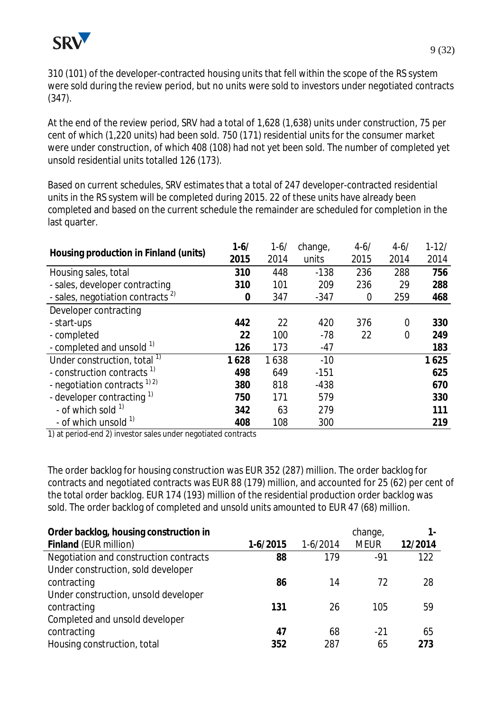

310 (101) of the developer-contracted housing units that fell within the scope of the RS system were sold during the review period, but no units were sold to investors under negotiated contracts (347).

At the end of the review period, SRV had a total of 1,628 (1,638) units under construction, 75 per cent of which (1,220 units) had been sold. 750 (171) residential units for the consumer market were under construction, of which 408 (108) had not yet been sold. The number of completed yet unsold residential units totalled 126 (173).

Based on current schedules, SRV estimates that a total of 247 developer-contracted residential units in the RS system will be completed during 2015. 22 of these units have already been completed and based on the current schedule the remainder are scheduled for completion in the last quarter.

|                                              | $1 - 6/$ | $1 - 6/$ | change, | $4 - 6/$ | $4 - 6/$                           | $1 - 12/$ |
|----------------------------------------------|----------|----------|---------|----------|------------------------------------|-----------|
| Housing production in Finland (units)        | 2015     | 2014     | units   | 2015     | 2014<br>288<br>29<br>259<br>0<br>0 | 2014      |
| Housing sales, total                         | 310      | 448      | $-138$  | 236      |                                    | 756       |
| - sales, developer contracting               | 310      | 101      | 209     | 236      |                                    | 288       |
| - sales, negotiation contracts <sup>2)</sup> | 0        | 347      | $-347$  | 0        |                                    | 468       |
| Developer contracting                        |          |          |         |          |                                    |           |
| - start-ups                                  | 442      | 22       | 420     | 376      |                                    | 330       |
| - completed                                  | 22       | 100      | $-78$   | 22       |                                    | 249       |
| - completed and unsold 1)                    | 126      | 173      | $-47$   |          |                                    | 183       |
| Under construction, total <sup>1)</sup>      | 1628     | 1638     | $-10$   |          |                                    | 1625      |
| - construction contracts <sup>1)</sup>       | 498      | 649      | $-151$  |          |                                    | 625       |
| - negotiation contracts $^{1/2}$             | 380      | 818      | $-438$  |          |                                    | 670       |
| - developer contracting 1)                   | 750      | 171      | 579     |          |                                    | 330       |
| - of which sold <sup>1)</sup>                | 342      | 63       | 279     |          |                                    | 111       |
| - of which unsold <sup>1)</sup>              | 408      | 108      | 300     |          |                                    | 219       |

1) at period-end 2) investor sales under negotiated contracts

The order backlog for housing construction was EUR 352 (287) million. The order backlog for contracts and negotiated contracts was EUR 88 (179) million, and accounted for 25 (62) per cent of the total order backlog. EUR 174 (193) million of the residential production order backlog was sold. The order backlog of completed and unsold units amounted to EUR 47 (68) million.

| Order backlog, housing construction in |            |            | change,     |         |
|----------------------------------------|------------|------------|-------------|---------|
| Finland (EUR million)                  | $1-6/2015$ | $1-6/2014$ | <b>MEUR</b> | 12/2014 |
| Negotiation and construction contracts | 88         | 179        | $-91$       | 122     |
| Under construction, sold developer     |            |            |             |         |
| contracting                            | 86         | 14         | 72          | 28      |
| Under construction, unsold developer   |            |            |             |         |
| contracting                            | 131        | 26         | 105         | 59      |
| Completed and unsold developer         |            |            |             |         |
| contracting                            | 47         | 68         | $-21$       | 65      |
| Housing construction, total            | 352        | 287        | 65          | 273     |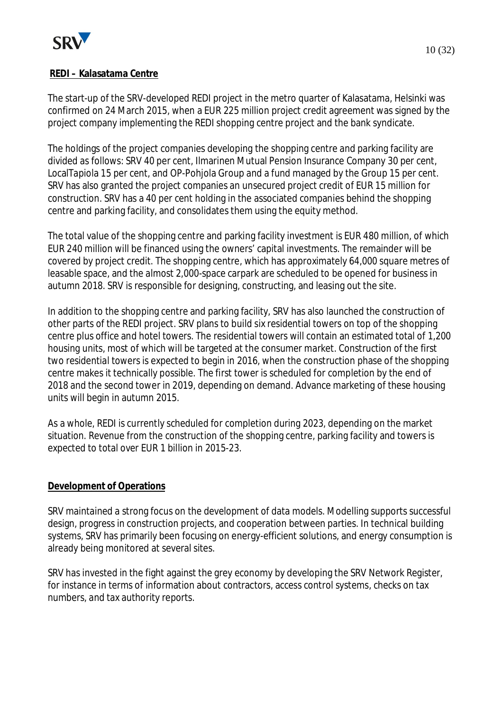

The start-up of the SRV-developed REDI project in the metro quarter of Kalasatama, Helsinki was confirmed on 24 March 2015, when a EUR 225 million project credit agreement was signed by the project company implementing the REDI shopping centre project and the bank syndicate.

The holdings of the project companies developing the shopping centre and parking facility are divided as follows: SRV 40 per cent, Ilmarinen Mutual Pension Insurance Company 30 per cent, LocalTapiola 15 per cent, and OP-Pohjola Group and a fund managed by the Group 15 per cent. SRV has also granted the project companies an unsecured project credit of EUR 15 million for construction. SRV has a 40 per cent holding in the associated companies behind the shopping centre and parking facility, and consolidates them using the equity method.

The total value of the shopping centre and parking facility investment is EUR 480 million, of which EUR 240 million will be financed using the owners' capital investments. The remainder will be covered by project credit. The shopping centre, which has approximately 64,000 square metres of leasable space, and the almost 2,000-space carpark are scheduled to be opened for business in autumn 2018. SRV is responsible for designing, constructing, and leasing out the site.

In addition to the shopping centre and parking facility, SRV has also launched the construction of other parts of the REDI project. SRV plans to build six residential towers on top of the shopping centre plus office and hotel towers. The residential towers will contain an estimated total of 1,200 housing units, most of which will be targeted at the consumer market. Construction of the first two residential towers is expected to begin in 2016, when the construction phase of the shopping centre makes it technically possible. The first tower is scheduled for completion by the end of 2018 and the second tower in 2019, depending on demand. Advance marketing of these housing units will begin in autumn 2015.

As a whole, REDI is currently scheduled for completion during 2023, depending on the market situation. Revenue from the construction of the shopping centre, parking facility and towers is expected to total over EUR 1 billion in 2015-23.

# **Development of Operations**

SRV maintained a strong focus on the development of data models. Modelling supports successful design, progress in construction projects, and cooperation between parties. In technical building systems, SRV has primarily been focusing on energy-efficient solutions, and energy consumption is already being monitored at several sites.

SRV has invested in the fight against the grey economy by developing the SRV Network Register, for instance in terms of information about contractors, access control systems, checks on tax numbers, and tax authority reports.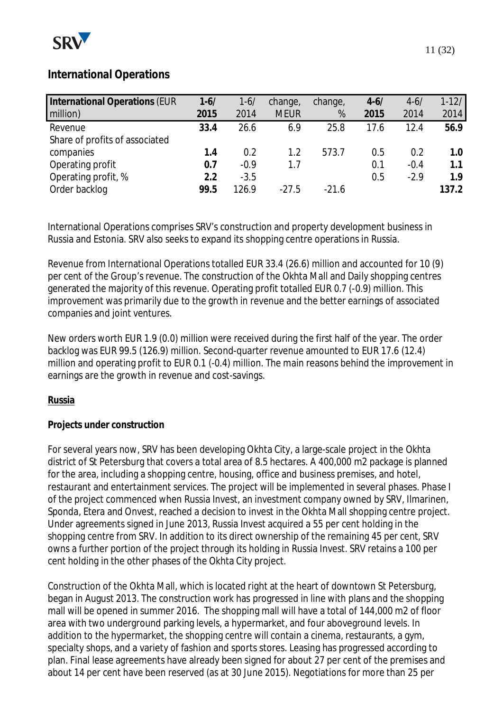

# **International Operations**

| International Operations (EUR<br>million) | $1 - 6/$<br>2015 | $1 - 6/$<br>2014 | change,<br><b>MEUR</b> | change,<br>% | $4-6/$<br>2015 | $4 - 6/$<br>2014 | $1 - 12/$<br>2014 |
|-------------------------------------------|------------------|------------------|------------------------|--------------|----------------|------------------|-------------------|
| Revenue                                   | 33.4             | 26.6             | 6.9                    | 25.8         | 17.6           | 12.4             | 56.9              |
| Share of profits of associated            |                  |                  |                        |              |                |                  |                   |
| companies                                 | 1.4              | 0.2              | $1.2\,$                | 573.7        | 0.5            | 0.2              | 1.0               |
| Operating profit                          | 0.7              | $-0.9$           | 1.7                    |              | 0.1            | $-0.4$           | 1.1               |
| Operating profit, %                       | 2.2              | $-3.5$           |                        |              | 0.5            | $-2.9$           | 1.9               |
| Order backlog                             | 99.5             | 126.9            | $-27.5$                | $-21.6$      |                |                  | 137.2             |

International Operations comprises SRV's construction and property development business in Russia and Estonia. SRV also seeks to expand its shopping centre operations in Russia.

Revenue from International Operations totalled EUR 33.4 (26.6) million and accounted for 10 (9) per cent of the Group's revenue. The construction of the Okhta Mall and Daily shopping centres generated the majority of this revenue. Operating profit totalled EUR 0.7 (-0.9) million. This improvement was primarily due to the growth in revenue and the better earnings of associated companies and joint ventures.

New orders worth EUR 1.9 (0.0) million were received during the first half of the year. The order backlog was EUR 99.5 (126.9) million. Second-quarter revenue amounted to EUR 17.6 (12.4) million and operating profit to EUR 0.1 (-0.4) million. The main reasons behind the improvement in earnings are the growth in revenue and cost-savings.

## **Russia**

## **Projects under construction**

For several years now, SRV has been developing Okhta City, a large-scale project in the Okhta district of St Petersburg that covers a total area of 8.5 hectares. A 400,000 m2 package is planned for the area, including a shopping centre, housing, office and business premises, and hotel, restaurant and entertainment services. The project will be implemented in several phases. Phase I of the project commenced when Russia Invest, an investment company owned by SRV, Ilmarinen, Sponda, Etera and Onvest, reached a decision to invest in the Okhta Mall shopping centre project. Under agreements signed in June 2013, Russia Invest acquired a 55 per cent holding in the shopping centre from SRV. In addition to its direct ownership of the remaining 45 per cent, SRV owns a further portion of the project through its holding in Russia Invest. SRV retains a 100 per cent holding in the other phases of the Okhta City project.

Construction of the Okhta Mall, which is located right at the heart of downtown St Petersburg, began in August 2013. The construction work has progressed in line with plans and the shopping mall will be opened in summer 2016. The shopping mall will have a total of 144,000 m2 of floor area with two underground parking levels, a hypermarket, and four aboveground levels. In addition to the hypermarket, the shopping centre will contain a cinema, restaurants, a gym, specialty shops, and a variety of fashion and sports stores. Leasing has progressed according to plan. Final lease agreements have already been signed for about 27 per cent of the premises and about 14 per cent have been reserved (as at 30 June 2015). Negotiations for more than 25 per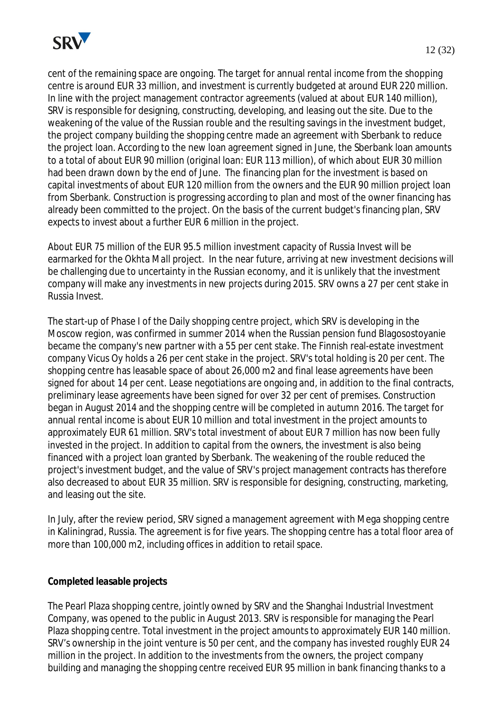

cent of the remaining space are ongoing. The target for annual rental income from the shopping centre is around EUR 33 million, and investment is currently budgeted at around EUR 220 million. In line with the project management contractor agreements (valued at about EUR 140 million), SRV is responsible for designing, constructing, developing, and leasing out the site. Due to the weakening of the value of the Russian rouble and the resulting savings in the investment budget, the project company building the shopping centre made an agreement with Sberbank to reduce the project loan. According to the new loan agreement signed in June, the Sberbank loan amounts to a total of about EUR 90 million (original loan: EUR 113 million), of which about EUR 30 million had been drawn down by the end of June. The financing plan for the investment is based on capital investments of about EUR 120 million from the owners and the EUR 90 million project loan from Sberbank. Construction is progressing according to plan and most of the owner financing has already been committed to the project. On the basis of the current budget's financing plan, SRV expects to invest about a further EUR 6 million in the project.

About EUR 75 million of the EUR 95.5 million investment capacity of Russia Invest will be earmarked for the Okhta Mall project. In the near future, arriving at new investment decisions will be challenging due to uncertainty in the Russian economy, and it is unlikely that the investment company will make any investments in new projects during 2015. SRV owns a 27 per cent stake in Russia Invest.

The start-up of Phase I of the Daily shopping centre project, which SRV is developing in the Moscow region, was confirmed in summer 2014 when the Russian pension fund Blagosostoyanie became the company's new partner with a 55 per cent stake. The Finnish real-estate investment company Vicus Oy holds a 26 per cent stake in the project. SRV's total holding is 20 per cent. The shopping centre has leasable space of about 26,000 m2 and final lease agreements have been signed for about 14 per cent. Lease negotiations are ongoing and, in addition to the final contracts, preliminary lease agreements have been signed for over 32 per cent of premises. Construction began in August 2014 and the shopping centre will be completed in autumn 2016. The target for annual rental income is about EUR 10 million and total investment in the project amounts to approximately EUR 61 million. SRV's total investment of about EUR 7 million has now been fully invested in the project. In addition to capital from the owners, the investment is also being financed with a project loan granted by Sberbank. The weakening of the rouble reduced the project's investment budget, and the value of SRV's project management contracts has therefore also decreased to about EUR 35 million. SRV is responsible for designing, constructing, marketing, and leasing out the site.

In July, after the review period, SRV signed a management agreement with Mega shopping centre in Kaliningrad, Russia. The agreement is for five years. The shopping centre has a total floor area of more than 100,000 m2, including offices in addition to retail space.

## **Completed leasable projects**

The Pearl Plaza shopping centre, jointly owned by SRV and the Shanghai Industrial Investment Company, was opened to the public in August 2013. SRV is responsible for managing the Pearl Plaza shopping centre. Total investment in the project amounts to approximately EUR 140 million. SRV's ownership in the joint venture is 50 per cent, and the company has invested roughly EUR 24 million in the project. In addition to the investments from the owners, the project company building and managing the shopping centre received EUR 95 million in bank financing thanks to a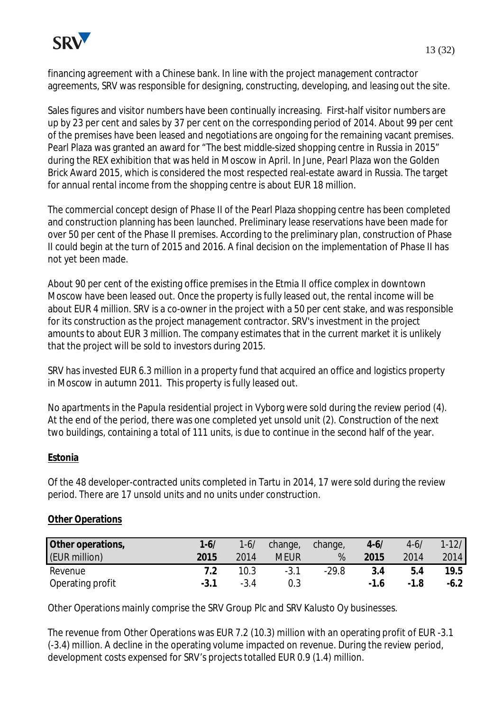

financing agreement with a Chinese bank. In line with the project management contractor agreements, SRV was responsible for designing, constructing, developing, and leasing out the site.

Sales figures and visitor numbers have been continually increasing. First-half visitor numbers are up by 23 per cent and sales by 37 per cent on the corresponding period of 2014. About 99 per cent of the premises have been leased and negotiations are ongoing for the remaining vacant premises. Pearl Plaza was granted an award for "The best middle-sized shopping centre in Russia in 2015" during the REX exhibition that was held in Moscow in April. In June, Pearl Plaza won the Golden Brick Award 2015, which is considered the most respected real-estate award in Russia. The target for annual rental income from the shopping centre is about EUR 18 million.

The commercial concept design of Phase II of the Pearl Plaza shopping centre has been completed and construction planning has been launched. Preliminary lease reservations have been made for over 50 per cent of the Phase II premises. According to the preliminary plan, construction of Phase II could begin at the turn of 2015 and 2016. A final decision on the implementation of Phase II has not yet been made.

About 90 per cent of the existing office premises in the Etmia II office complex in downtown Moscow have been leased out. Once the property is fully leased out, the rental income will be about EUR 4 million. SRV is a co-owner in the project with a 50 per cent stake, and was responsible for its construction as the project management contractor. SRV's investment in the project amounts to about EUR 3 million. The company estimates that in the current market it is unlikely that the project will be sold to investors during 2015.

SRV has invested EUR 6.3 million in a property fund that acquired an office and logistics property in Moscow in autumn 2011. This property is fully leased out.

No apartments in the Papula residential project in Vyborg were sold during the review period (4). At the end of the period, there was one completed yet unsold unit (2). Construction of the next two buildings, containing a total of 111 units, is due to continue in the second half of the year.

## **Estonia**

Of the 48 developer-contracted units completed in Tartu in 2014, 17 were sold during the review period. There are 17 unsold units and no units under construction.

#### **Other Operations**

| Other operations, | $1 - 6/$ | $1-6/$ | change,     | change, | $4 - 6/$ | $4 - 6/$ | $1-12/$ |
|-------------------|----------|--------|-------------|---------|----------|----------|---------|
| (EUR million)     | 2015     | 2014   | <b>MEUR</b> | %       | 2015     | 2014     | 2014    |
| Revenue           |          | 10.3   | $-3.1$      | $-29.8$ | 3.4      | b.4      | 19.5    |
| Operating profit  |          | $-3.4$ |             |         | $-1.6$   | $-1.8$   | $-6.2$  |

Other Operations mainly comprise the SRV Group Plc and SRV Kalusto Oy businesses.

The revenue from Other Operations was EUR 7.2 (10.3) million with an operating profit of EUR -3.1 (-3.4) million. A decline in the operating volume impacted on revenue. During the review period, development costs expensed for SRV's projects totalled EUR 0.9 (1.4) million.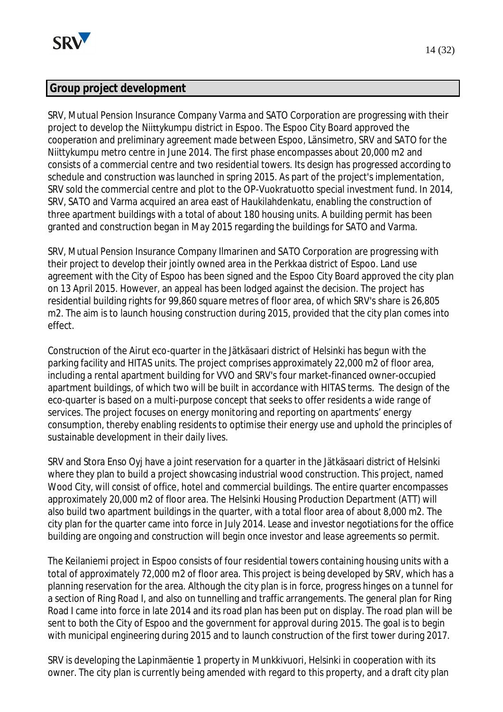

# **Group project development**

SRV, Mutual Pension Insurance Company Varma and SATO Corporation are progressing with their project to develop the Niittykumpu district in Espoo. The Espoo City Board approved the cooperaƟon and preliminary agreement made between Espoo, Länsimetro, SRV and SATO for the Niittykumpu metro centre in June 2014. The first phase encompasses about 20,000 m2 and consists of a commercial centre and two residential towers. Its design has progressed according to schedule and construction was launched in spring 2015. As part of the project's implementation, SRV sold the commercial centre and plot to the OP-Vuokratuotto special investment fund. In 2014, SRV, SATO and Varma acquired an area east of Haukilahdenkatu, enabling the construction of three apartment buildings with a total of about 180 housing units. A building permit has been granted and construction began in May 2015 regarding the buildings for SATO and Varma.

SRV, Mutual Pension Insurance Company Ilmarinen and SATO Corporation are progressing with their project to develop their jointly owned area in the Perkkaa district of Espoo. Land use agreement with the City of Espoo has been signed and the Espoo City Board approved the city plan on 13 April 2015. However, an appeal has been lodged against the decision. The project has residential building rights for 99,860 square metres of floor area, of which SRV's share is 26,805 m2. The aim is to launch housing construction during 2015, provided that the city plan comes into effect.

Construction of the Airut eco-quarter in the Jätkäsaari district of Helsinki has begun with the parking facility and HITAS units. The project comprises approximately 22,000 m2 of floor area, including a rental apartment building for VVO and SRV's four market-financed owner-occupied apartment buildings, of which two will be built in accordance with HITAS terms. The design of the eco-quarter is based on a multi-purpose concept that seeks to offer residents a wide range of services. The project focuses on energy monitoring and reporting on apartments' energy consumption, thereby enabling residents to optimise their energy use and uphold the principles of sustainable development in their daily lives.

SRV and Stora Enso Ovi have a joint reservation for a quarter in the Jätkäsaari district of Helsinki where they plan to build a project showcasing industrial wood construction. This project, named Wood City, will consist of office, hotel and commercial buildings. The entire quarter encompasses approximately 20,000 m2 of floor area. The Helsinki Housing Production Department (ATT) will also build two apartment buildings in the quarter, with a total floor area of about 8,000 m2. The city plan for the quarter came into force in July 2014. Lease and investor negotiations for the office building are ongoing and construction will begin once investor and lease agreements so permit.

The Keilaniemi project in Espoo consists of four residential towers containing housing units with a total of approximately 72,000 m2 of floor area. This project is being developed by SRV, which has a planning reservation for the area. Although the city plan is in force, progress hinges on a tunnel for a section of Ring Road I, and also on tunnelling and traffic arrangements. The general plan for Ring Road I came into force in late 2014 and its road plan has been put on display. The road plan will be sent to both the City of Espoo and the government for approval during 2015. The goal is to begin with municipal engineering during 2015 and to launch construction of the first tower during 2017.

SRV is developing the Lapinmäentie 1 property in Munkkivuori, Helsinki in cooperation with its owner. The city plan is currently being amended with regard to this property, and a draft city plan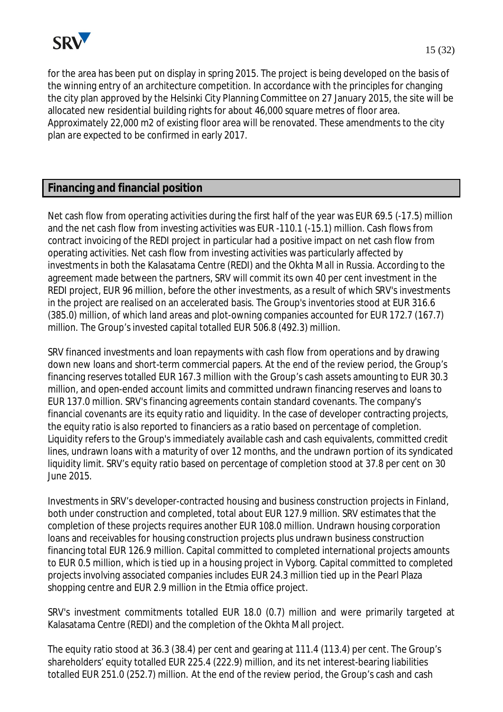

for the area has been put on display in spring 2015. The project is being developed on the basis of the winning entry of an architecture competition. In accordance with the principles for changing the city plan approved by the Helsinki City Planning Committee on 27 January 2015, the site will be allocated new residential building rights for about 46,000 square metres of floor area. Approximately 22,000 m2 of existing floor area will be renovated. These amendments to the city plan are expected to be confirmed in early 2017.

# **Financing and financial position**

Net cash flow from operating activities during the first half of the year was EUR 69.5 (-17.5) million and the net cash flow from investing activities was EUR -110.1 (-15.1) million. Cash flows from contract invoicing of the REDI project in particular had a positive impact on net cash flow from operating activities. Net cash flow from investing activities was particularly affected by investments in both the Kalasatama Centre (REDI) and the Okhta Mall in Russia. According to the agreement made between the partners, SRV will commit its own 40 per cent investment in the REDI project, EUR 96 million, before the other investments, as a result of which SRV's investments in the project are realised on an accelerated basis. The Group's inventories stood at EUR 316.6 (385.0) million, of which land areas and plot-owning companies accounted for EUR 172.7 (167.7) million. The Group's invested capital totalled EUR 506.8 (492.3) million.

SRV financed investments and loan repayments with cash flow from operations and by drawing down new loans and short-term commercial papers. At the end of the review period, the Group's financing reserves totalled EUR 167.3 million with the Group's cash assets amounting to EUR 30.3 million, and open-ended account limits and committed undrawn financing reserves and loans to EUR 137.0 million. SRV's financing agreements contain standard covenants. The company's financial covenants are its equity ratio and liquidity. In the case of developer contracting projects, the equity ratio is also reported to financiers as a ratio based on percentage of completion. Liquidity refers to the Group's immediately available cash and cash equivalents, committed credit lines, undrawn loans with a maturity of over 12 months, and the undrawn portion of its syndicated liquidity limit. SRV's equity ratio based on percentage of completion stood at 37.8 per cent on 30 June 2015.

Investments in SRV's developer-contracted housing and business construction projects in Finland, both under construction and completed, total about EUR 127.9 million. SRV estimates that the completion of these projects requires another EUR 108.0 million. Undrawn housing corporation loans and receivables for housing construction projects plus undrawn business construction financing total EUR 126.9 million. Capital committed to completed international projects amounts to EUR 0.5 million, which is tied up in a housing project in Vyborg. Capital committed to completed projects involving associated companies includes EUR 24.3 million tied up in the Pearl Plaza shopping centre and EUR 2.9 million in the Etmia office project.

SRV's investment commitments totalled EUR 18.0 (0.7) million and were primarily targeted at Kalasatama Centre (REDI) and the completion of the Okhta Mall project.

The equity ratio stood at 36.3 (38.4) per cent and gearing at 111.4 (113.4) per cent. The Group's shareholders' equity totalled EUR 225.4 (222.9) million, and its net interest-bearing liabilities totalled EUR 251.0 (252.7) million. At the end of the review period, the Group's cash and cash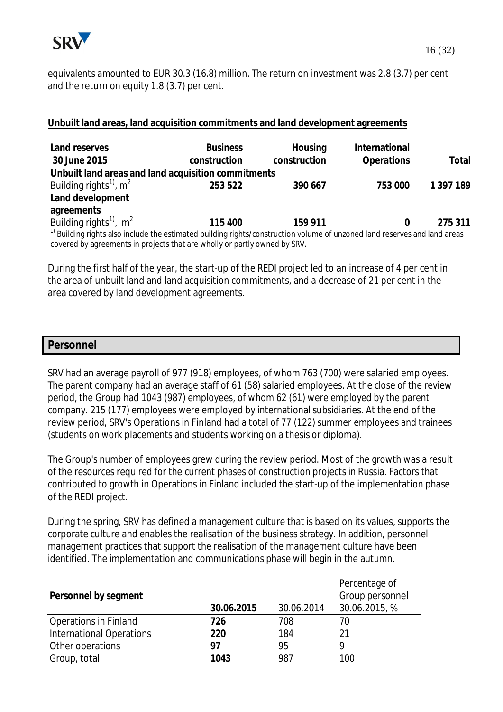

equivalents amounted to EUR 30.3 (16.8) million. The return on investment was 2.8 (3.7) per cent and the return on equity 1.8 (3.7) per cent.

## **Unbuilt land areas, land acquisition commitments and land development agreements**

| Land reserves<br>30 June 2015                                                                                                        | <b>Business</b><br>construction | Housing<br>construction | International<br>Operations | Total     |  |  |  |
|--------------------------------------------------------------------------------------------------------------------------------------|---------------------------------|-------------------------|-----------------------------|-----------|--|--|--|
| Unbuilt land areas and land acquisition commitments                                                                                  |                                 |                         |                             |           |  |  |  |
| Building rights <sup>1)</sup> , $m^2$                                                                                                | 253 522                         | 390 667                 | 753 000                     | 1 397 189 |  |  |  |
| Land development                                                                                                                     |                                 |                         |                             |           |  |  |  |
| agreements                                                                                                                           |                                 |                         |                             |           |  |  |  |
| Building rights <sup>1)</sup> , m <sup>2</sup>                                                                                       | 115 400                         | 159 911                 |                             | 275 311   |  |  |  |
| <sup>1)</sup> Building rights also include the estimated building rights/construction volume of unzoned land reserves and land areas |                                 |                         |                             |           |  |  |  |
| covered by agreements in projects that are wholly or partly owned by SRV.                                                            |                                 |                         |                             |           |  |  |  |

During the first half of the year, the start-up of the REDI project led to an increase of 4 per cent in the area of unbuilt land and land acquisition commitments, and a decrease of 21 per cent in the area covered by land development agreements.

#### **Personnel**

SRV had an average payroll of 977 (918) employees, of whom 763 (700) were salaried employees. The parent company had an average staff of 61 (58) salaried employees. At the close of the review period, the Group had 1043 (987) employees, of whom 62 (61) were employed by the parent company. 215 (177) employees were employed by international subsidiaries. At the end of the review period, SRV's Operations in Finland had a total of 77 (122) summer employees and trainees (students on work placements and students working on a thesis or diploma).

The Group's number of employees grew during the review period. Most of the growth was a result of the resources required for the current phases of construction projects in Russia. Factors that contributed to growth in Operations in Finland included the start-up of the implementation phase of the REDI project.

During the spring, SRV has defined a management culture that is based on its values, supports the corporate culture and enables the realisation of the business strategy. In addition, personnel management practices that support the realisation of the management culture have been identified. The implementation and communications phase will begin in the autumn.

| Personnel by segment            | 30.06.2015 | 30.06.2014 | Percentage of<br>Group personnel<br>30.06.2015, % |
|---------------------------------|------------|------------|---------------------------------------------------|
| <b>Operations in Finland</b>    | 726        | 708        | 70                                                |
| <b>International Operations</b> | 220        | 184        | 21                                                |
| Other operations                | 97         | 95         | Q                                                 |
|                                 |            |            |                                                   |
| Group, total                    | 1043       | 987        | 100                                               |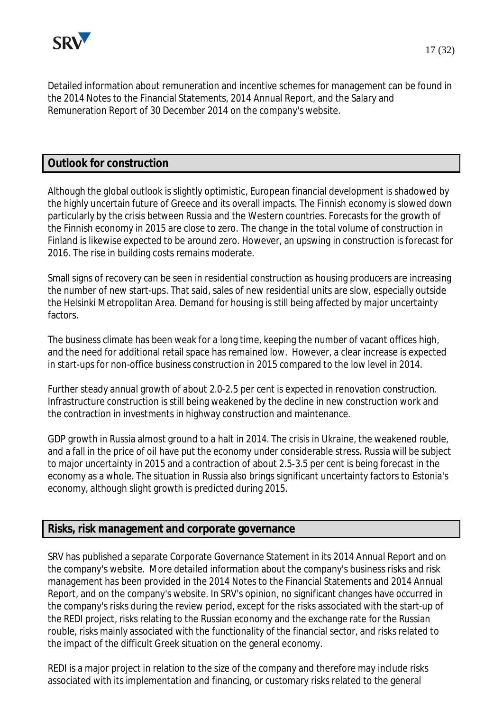

Detailed information about remuneration and incentive schemes for management can be found in the 2014 Notes to the Financial Statements, 2014 Annual Report, and the Salary and Remuneration Report of 30 December 2014 on the company's website.

# **Outlook for construction**

Although the global outlook is slightly optimistic, European financial development is shadowed by the highly uncertain future of Greece and its overall impacts. The Finnish economy is slowed down particularly by the crisis between Russia and the Western countries. Forecasts for the growth of the Finnish economy in 2015 are close to zero. The change in the total volume of construction in Finland is likewise expected to be around zero. However, an upswing in construction is forecast for 2016. The rise in building costs remains moderate.

Small signs of recovery can be seen in residential construction as housing producers are increasing the number of new start-ups. That said, sales of new residential units are slow, especially outside the Helsinki Metropolitan Area. Demand for housing is still being affected by major uncertainty factors.

The business climate has been weak for a long time, keeping the number of vacant offices high, and the need for additional retail space has remained low. However, a clear increase is expected in start-ups for non-office business construction in 2015 compared to the low level in 2014.

Further steady annual growth of about 2.0-2.5 per cent is expected in renovation construction. Infrastructure construction is still being weakened by the decline in new construction work and the contraction in investments in highway construction and maintenance.

GDP growth in Russia almost ground to a halt in 2014. The crisis in Ukraine, the weakened rouble, and a fall in the price of oil have put the economy under considerable stress. Russia will be subject to major uncertainty in 2015 and a contraction of about 2.5-3.5 per cent is being forecast in the economy as a whole. The situation in Russia also brings significant uncertainty factors to Estonia's economy, although slight growth is predicted during 2015.

# **Risks, risk management and corporate governance**

SRV has published a separate Corporate Governance Statement in its 2014 Annual Report and on the company's website. More detailed information about the company's business risks and risk management has been provided in the 2014 Notes to the Financial Statements and 2014 Annual Report, and on the company's website. In SRV's opinion, no significant changes have occurred in the company's risks during the review period, except for the risks associated with the start-up of the REDI project, risks relating to the Russian economy and the exchange rate for the Russian rouble, risks mainly associated with the functionality of the financial sector, and risks related to the impact of the difficult Greek situation on the general economy.

REDI is a major project in relation to the size of the company and therefore may include risks associated with its implementation and financing, or customary risks related to the general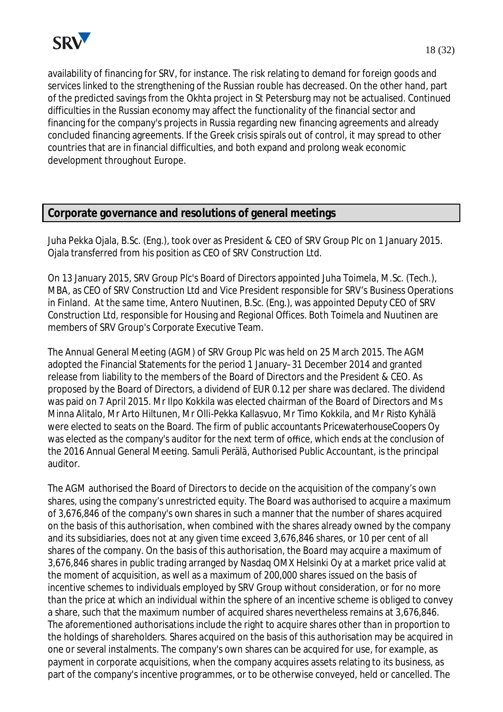

availability of financing for SRV, for instance. The risk relating to demand for foreign goods and services linked to the strengthening of the Russian rouble has decreased. On the other hand, part of the predicted savings from the Okhta project in St Petersburg may not be actualised. Continued difficulties in the Russian economy may affect the functionality of the financial sector and financing for the company's projects in Russia regarding new financing agreements and already concluded financing agreements. If the Greek crisis spirals out of control, it may spread to other countries that are in financial difficulties, and both expand and prolong weak economic development throughout Europe.

# **Corporate governance and resolutions of general meetings**

Juha Pekka Ojala, B.Sc. (Eng.), took over as President & CEO of SRV Group Plc on 1 January 2015. Ojala transferred from his position as CEO of SRV Construction Ltd.

On 13 January 2015, SRV Group Plc's Board of Directors appointed Juha Toimela, M.Sc. (Tech.), MBA, as CEO of SRV Construction Ltd and Vice President responsible for SRV's Business Operations in Finland. At the same time, Antero Nuutinen, B.Sc. (Eng.), was appointed Deputy CEO of SRV Construction Ltd, responsible for Housing and Regional Offices. Both Toimela and Nuutinen are members of SRV Group's Corporate Executive Team.

The Annual General Meeting (AGM) of SRV Group Plc was held on 25 March 2015. The AGM adopted the Financial Statements for the period 1 January–31 December 2014 and granted release from liability to the members of the Board of Directors and the President & CEO. As proposed by the Board of Directors, a dividend of EUR 0.12 per share was declared. The dividend was paid on 7 April 2015. Mr Ilpo Kokkila was elected chairman of the Board of Directors and Ms Minna Alitalo, Mr Arto Hiltunen, Mr Olli-Pekka Kallasvuo, Mr Timo Kokkila, and Mr Risto Kyhälä were elected to seats on the Board. The firm of public accountants PricewaterhouseCoopers Oy was elected as the company's auditor for the next term of office, which ends at the conclusion of the 2016 Annual General Meeting. Samuli Perälä, Authorised Public Accountant, is the principal auditor.

The AGM authorised the Board of Directors to decide on the acquisition of the company's own shares, using the company's unrestricted equity. The Board was authorised to acquire a maximum of 3,676,846 of the company's own shares in such a manner that the number of shares acquired on the basis of this authorisation, when combined with the shares already owned by the company and its subsidiaries, does not at any given time exceed 3,676,846 shares, or 10 per cent of all shares of the company. On the basis of this authorisation, the Board may acquire a maximum of 3,676,846 shares in public trading arranged by Nasdaq OMX Helsinki Oy at a market price valid at the moment of acquisition, as well as a maximum of 200,000 shares issued on the basis of incentive schemes to individuals employed by SRV Group without consideration, or for no more than the price at which an individual within the sphere of an incentive scheme is obliged to convey a share, such that the maximum number of acquired shares nevertheless remains at 3,676,846. The aforementioned authorisations include the right to acquire shares other than in proportion to the holdings of shareholders. Shares acquired on the basis of this authorisation may be acquired in one or several instalments. The company's own shares can be acquired for use, for example, as payment in corporate acquisitions, when the company acquires assets relating to its business, as part of the company's incentive programmes, or to be otherwise conveyed, held or cancelled. The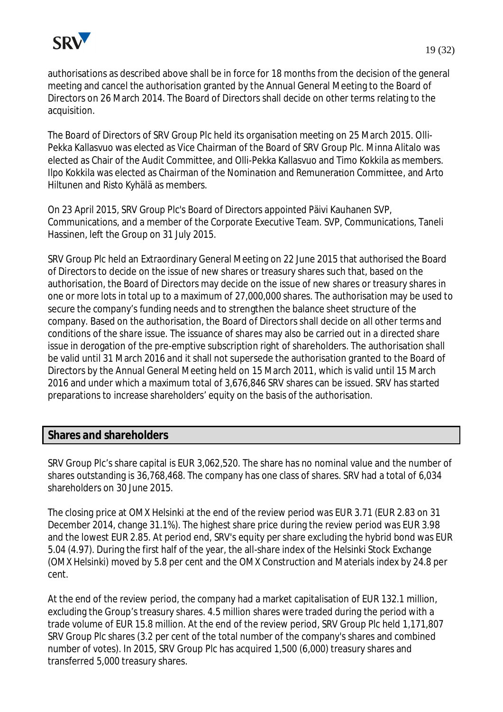

authorisations as described above shall be in force for 18 months from the decision of the general meeting and cancel the authorisation granted by the Annual General Meeting to the Board of Directors on 26 March 2014. The Board of Directors shall decide on other terms relating to the acquisition.

The Board of Directors of SRV Group Plc held its organisation meeting on 25 March 2015. Olli-Pekka Kallasvuo was elected as Vice Chairman of the Board of SRV Group Plc. Minna Alitalo was elected as Chair of the Audit Committee, and Olli-Pekka Kallasvuo and Timo Kokkila as members. Ilpo Kokkila was elected as Chairman of the Nomination and Remuneration Committee, and Arto Hiltunen and Risto Kyhälä as members.

On 23 April 2015, SRV Group Plc's Board of Directors appointed Päivi Kauhanen SVP, Communications, and a member of the Corporate Executive Team. SVP, Communications, Taneli Hassinen, left the Group on 31 July 2015.

SRV Group Plc held an Extraordinary General Meeting on 22 June 2015 that authorised the Board of Directors to decide on the issue of new shares or treasury shares such that, based on the authorisation, the Board of Directors may decide on the issue of new shares or treasury shares in one or more lots in total up to a maximum of 27,000,000 shares. The authorisation may be used to secure the company's funding needs and to strengthen the balance sheet structure of the company. Based on the authorisation, the Board of Directors shall decide on all other terms and conditions of the share issue. The issuance of shares may also be carried out in a directed share issue in derogation of the pre-emptive subscription right of shareholders. The authorisation shall be valid until 31 March 2016 and it shall not supersede the authorisation granted to the Board of Directors by the Annual General Meeting held on 15 March 2011, which is valid until 15 March 2016 and under which a maximum total of 3,676,846 SRV shares can be issued. SRV has started preparations to increase shareholders' equity on the basis of the authorisation.

# **Shares and shareholders**

SRV Group Plc's share capital is EUR 3,062,520. The share has no nominal value and the number of shares outstanding is 36,768,468. The company has one class of shares. SRV had a total of 6,034 shareholders on 30 June 2015.

The closing price at OMX Helsinki at the end of the review period was EUR 3.71 (EUR 2.83 on 31 December 2014, change 31.1%). The highest share price during the review period was EUR 3.98 and the lowest EUR 2.85. At period end, SRV's equity per share excluding the hybrid bond was EUR 5.04 (4.97). During the first half of the year, the all-share index of the Helsinki Stock Exchange (OMX Helsinki) moved by 5.8 per cent and the OMX Construction and Materials index by 24.8 per cent.

At the end of the review period, the company had a market capitalisation of EUR 132.1 million, excluding the Group's treasury shares. 4.5 million shares were traded during the period with a trade volume of EUR 15.8 million. At the end of the review period, SRV Group Plc held 1,171,807 SRV Group Plc shares (3.2 per cent of the total number of the company's shares and combined number of votes). In 2015, SRV Group Plc has acquired 1,500 (6,000) treasury shares and transferred 5,000 treasury shares.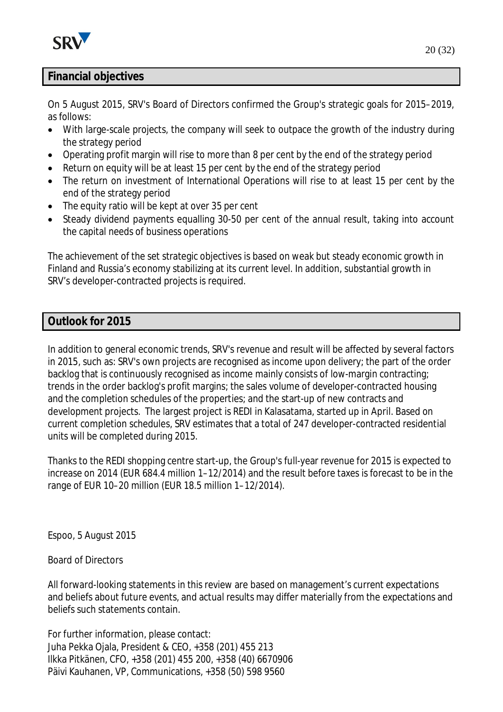

# **Financial objectives**

On 5 August 2015, SRV's Board of Directors confirmed the Group's strategic goals for 2015–2019, as follows:

- With large-scale projects, the company will seek to outpace the growth of the industry during the strategy period
- · Operating profit margin will rise to more than 8 per cent by the end of the strategy period
- Return on equity will be at least 15 per cent by the end of the strategy period
- · The return on investment of International Operations will rise to at least 15 per cent by the end of the strategy period
- The equity ratio will be kept at over 35 per cent
- Steady dividend payments equalling 30-50 per cent of the annual result, taking into account the capital needs of business operations

The achievement of the set strategic objectives is based on weak but steady economic growth in Finland and Russia's economy stabilizing at its current level. In addition, substantial growth in SRV's developer-contracted projects is required.

## **Outlook for 2015**

In addition to general economic trends, SRV's revenue and result will be affected by several factors in 2015, such as: SRV's own projects are recognised as income upon delivery; the part of the order backlog that is continuously recognised as income mainly consists of low-margin contracting; trends in the order backlog's profit margins; the sales volume of developer-contracted housing and the completion schedules of the properties; and the start-up of new contracts and development projects. The largest project is REDI in Kalasatama, started up in April. Based on current completion schedules, SRV estimates that a total of 247 developer-contracted residential units will be completed during 2015.

Thanks to the REDI shopping centre start-up, the Group's full-year revenue for 2015 is expected to increase on 2014 (EUR 684.4 million 1–12/2014) and the result before taxes is forecast to be in the range of EUR 10–20 million (EUR 18.5 million 1–12/2014).

Espoo, 5 August 2015

## Board of Directors

All forward-looking statements in this review are based on management's current expectations and beliefs about future events, and actual results may differ materially from the expectations and beliefs such statements contain.

For further information, please contact: Juha Pekka Ojala, President & CEO, +358 (201) 455 213 Ilkka Pitkänen, CFO, +358 (201) 455 200, +358 (40) 6670906 Päivi Kauhanen, VP, Communications, +358 (50) 598 9560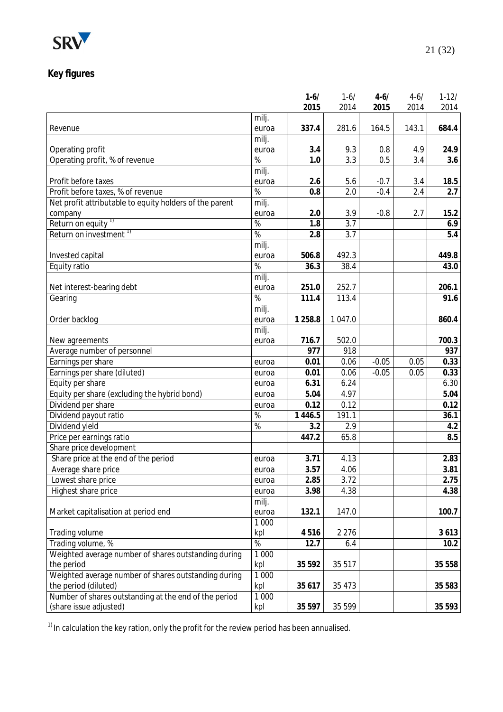

# **Key figures**

|                                                         |                 | $1 - 6/$  | $1 - 6/$         | $4 - 6/$ | $4 - 6/$ | $1 - 12/$ |
|---------------------------------------------------------|-----------------|-----------|------------------|----------|----------|-----------|
|                                                         |                 | 2015      | 2014             | 2015     | 2014     | 2014      |
|                                                         | milj.           |           |                  |          |          |           |
| Revenue                                                 | euroa           | 337.4     | 281.6            | 164.5    | 143.1    | 684.4     |
|                                                         | milj.           |           |                  |          |          |           |
| Operating profit                                        | euroa           | 3.4       | 9.3              | 0.8      | 4.9      | 24.9      |
| Operating profit, % of revenue                          | $\overline{\%}$ | 1.0       | $\overline{3.3}$ | 0.5      | 3.4      | 3.6       |
|                                                         | milj.           |           |                  |          |          |           |
| Profit before taxes                                     | euroa           | 2.6       | 5.6              | $-0.7$   | 3.4      | 18.5      |
| Profit before taxes, % of revenue                       | $\frac{1}{6}$   | 0.8       | 2.0              | $-0.4$   | 2.4      | 2.7       |
| Net profit attributable to equity holders of the parent | milj.           |           |                  |          |          |           |
| company                                                 | euroa           | 2.0       | 3.9              | $-0.8$   | 2.7      | 15.2      |
| Return on equity <sup>1)</sup>                          | $\overline{\%}$ | 1.8       | 3.7              |          |          | 6.9       |
| Return on investment <sup>1)</sup>                      | %               | 2.8       | 3.7              |          |          | 5.4       |
|                                                         | milj.           |           |                  |          |          |           |
| Invested capital                                        | euroa           | 506.8     | 492.3            |          |          | 449.8     |
| Equity ratio                                            | %               | 36.3      | 38.4             |          |          | 43.0      |
|                                                         | milj.           |           |                  |          |          |           |
| Net interest-bearing debt                               | euroa           | 251.0     | 252.7            |          |          | 206.1     |
| Gearing                                                 | %               | 111.4     | 113.4            |          |          | 91.6      |
|                                                         | milj.           |           |                  |          |          |           |
| Order backlog                                           | euroa           | 1 2 5 8.8 | 1 047.0          |          |          | 860.4     |
|                                                         | milj.           |           |                  |          |          |           |
| New agreements                                          | euroa           | 716.7     | 502.0            |          |          | 700.3     |
| Average number of personnel                             |                 | 977       | 918              |          |          | 937       |
| Earnings per share                                      | euroa           | 0.01      | 0.06             | $-0.05$  | 0.05     | 0.33      |
| Earnings per share (diluted)                            | euroa           | 0.01      | 0.06             | $-0.05$  | 0.05     | 0.33      |
| Equity per share                                        | euroa           | 6.31      | 6.24             |          |          | 6.30      |
| Equity per share (excluding the hybrid bond)            | euroa           | 5.04      | 4.97             |          |          | 5.04      |
| Dividend per share                                      | euroa           | 0.12      | 0.12             |          |          | 0.12      |
| Dividend payout ratio                                   | $\overline{\%}$ | 1 4 4 6.5 | 191.1            |          |          | 36.1      |
| Dividend yield                                          | %               | 3.2       | 2.9              |          |          | 4.2       |
| Price per earnings ratio                                |                 | 447.2     | 65.8             |          |          | 8.5       |
| Share price development                                 |                 |           |                  |          |          |           |
| Share price at the end of the period                    |                 |           | 4.13             |          |          |           |
|                                                         | euroa           | 3.71      | 4.06             |          |          | 2.83      |
| Average share price                                     | euroa           | 3.57      |                  |          |          | 3.81      |
| Lowest share price                                      | euroa           | 2.85      | 3.72             |          |          | 2.75      |
| Highest share price                                     | euroa           | 3.98      | 4.38             |          |          | 4.38      |
|                                                         | milj.           |           |                  |          |          |           |
| Market capitalisation at period end                     | euroa           | 132.1     | 147.0            |          |          | 100.7     |
|                                                         | 1 0 0 0         |           |                  |          |          |           |
| Trading volume                                          | kpl             | 4516      | 2 2 7 6          |          |          | 3613      |
| Trading volume, %                                       | $\%$            | 12.7      | 6.4              |          |          | 10.2      |
| Weighted average number of shares outstanding during    | 1 0 0 0         |           |                  |          |          |           |
| the period                                              | kpl             | 35 5 9 2  | 35 517           |          |          | 35 558    |
| Weighted average number of shares outstanding during    | 1 0 0 0         |           |                  |          |          |           |
| the period (diluted)                                    | kpl             | 35 617    | 35 4 73          |          |          | 35 583    |
| Number of shares outstanding at the end of the period   | 1 0 0 0         |           |                  |          |          |           |
| (share issue adjusted)                                  | kpl             | 35 5 97   | 35 599           |          |          | 35 593    |

 $1)$  In calculation the key ration, only the profit for the review period has been annualised.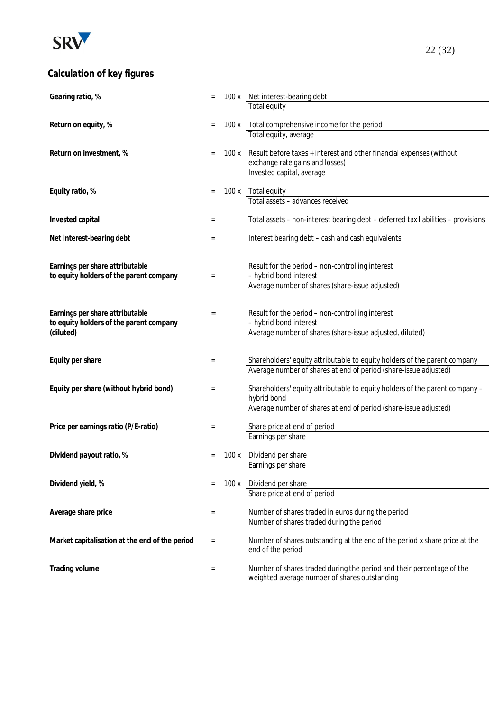

# **Calculation of key figures**

| Gearing ratio, %                               |          |       | 100 x Net interest-bearing debt                                                  |
|------------------------------------------------|----------|-------|----------------------------------------------------------------------------------|
|                                                |          |       | Total equity                                                                     |
|                                                |          |       |                                                                                  |
| Return on equity, %                            |          |       | 100 x Total comprehensive income for the period                                  |
|                                                |          |       | Total equity, average                                                            |
|                                                |          |       |                                                                                  |
| Return on investment, %                        |          | 100 x | Result before taxes + interest and other financial expenses (without             |
|                                                |          |       | exchange rate gains and losses)<br>Invested capital, average                     |
|                                                |          |       |                                                                                  |
| Equity ratio, %                                |          |       | 100 x Total equity                                                               |
|                                                |          |       | Total assets - advances received                                                 |
|                                                |          |       |                                                                                  |
| Invested capital                               | $=$      |       | Total assets - non-interest bearing debt - deferred tax liabilities - provisions |
|                                                |          |       |                                                                                  |
| Net interest-bearing debt                      | $=$      |       | Interest bearing debt - cash and cash equivalents                                |
|                                                |          |       |                                                                                  |
|                                                |          |       |                                                                                  |
| Earnings per share attributable                |          |       | Result for the period - non-controlling interest                                 |
| to equity holders of the parent company        | $=$      |       | - hybrid bond interest                                                           |
|                                                |          |       | Average number of shares (share-issue adjusted)                                  |
|                                                |          |       |                                                                                  |
|                                                |          |       |                                                                                  |
| Earnings per share attributable                | $=$      |       | Result for the period - non-controlling interest                                 |
| to equity holders of the parent company        |          |       | - hybrid bond interest                                                           |
| (diluted)                                      |          |       | Average number of shares (share-issue adjusted, diluted)                         |
|                                                |          |       |                                                                                  |
| Equity per share                               | $=$      |       | Shareholders' equity attributable to equity holders of the parent company        |
|                                                |          |       | Average number of shares at end of period (share-issue adjusted)                 |
|                                                |          |       |                                                                                  |
| Equity per share (without hybrid bond)         | $=$      |       | Shareholders' equity attributable to equity holders of the parent company -      |
|                                                |          |       | hybrid bond                                                                      |
|                                                |          |       | Average number of shares at end of period (share-issue adjusted)                 |
|                                                |          |       |                                                                                  |
| Price per earnings ratio (P/E-ratio)           | $=$      |       | Share price at end of period                                                     |
|                                                |          |       | Earnings per share                                                               |
|                                                |          |       |                                                                                  |
| Dividend payout ratio, %                       |          | 100x  | Dividend per share                                                               |
|                                                |          |       | Earnings per share                                                               |
| Dividend yield, %                              |          |       | 100 x Dividend per share                                                         |
|                                                |          |       | Share price at end of period                                                     |
|                                                |          |       |                                                                                  |
| Average share price                            | $\equiv$ |       | Number of shares traded in euros during the period                               |
|                                                |          |       | Number of shares traded during the period                                        |
|                                                |          |       |                                                                                  |
| Market capitalisation at the end of the period | $\equiv$ |       | Number of shares outstanding at the end of the period x share price at the       |
|                                                |          |       | end of the period                                                                |
|                                                |          |       |                                                                                  |
| Trading volume                                 | $=$      |       | Number of shares traded during the period and their percentage of the            |
|                                                |          |       | weighted average number of shares outstanding                                    |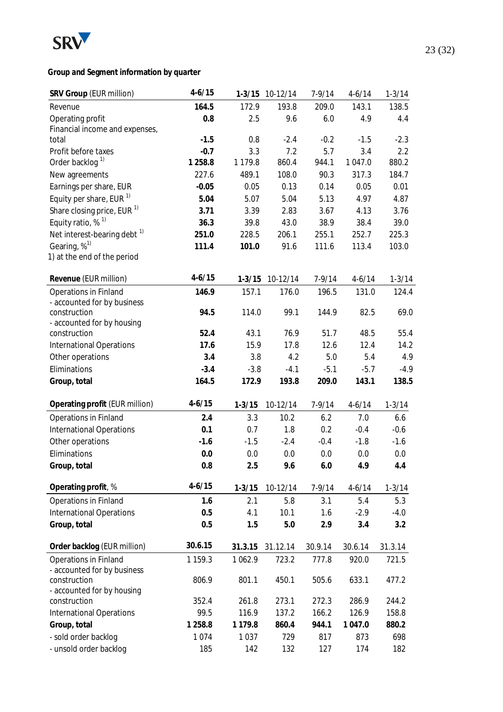

**Group and Segment information by quarter**

| SRV Group (EUR million)                 | $4 - 6/15$  |             | 1-3/15 10-12/14 | $7 - 9/14$ | $4 - 6/14$ | $1 - 3/14$ |
|-----------------------------------------|-------------|-------------|-----------------|------------|------------|------------|
| Revenue                                 | 164.5       | 172.9       | 193.8           | 209.0      | 143.1      | 138.5      |
| Operating profit                        | 0.8         | 2.5         | 9.6             | 6.0        | 4.9        | 4.4        |
| Financial income and expenses,          |             |             |                 |            |            |            |
| total                                   | $-1.5$      | 0.8         | $-2.4$          | $-0.2$     | $-1.5$     | $-2.3$     |
| Profit before taxes                     | $-0.7$      | 3.3         | 7.2             | 5.7        | 3.4        | 2.2        |
| Order backlog <sup>1)</sup>             | 1 258.8     | 1 1 7 9 . 8 | 860.4           | 944.1      | 1 047.0    | 880.2      |
| New agreements                          | 227.6       | 489.1       | 108.0           | 90.3       | 317.3      | 184.7      |
| Earnings per share, EUR                 | $-0.05$     | 0.05        | 0.13            | 0.14       | 0.05       | 0.01       |
| Equity per share, EUR $1$               | 5.04        | 5.07        | 5.04            | 5.13       | 4.97       | 4.87       |
| Share closing price, EUR <sup>1)</sup>  | 3.71        | 3.39        | 2.83            | 3.67       | 4.13       | 3.76       |
| Equity ratio, % <sup>1)</sup>           | 36.3        | 39.8        | 43.0            | 38.9       | 38.4       | 39.0       |
| Net interest-bearing debt <sup>1)</sup> | 251.0       | 228.5       | 206.1           | 255.1      | 252.7      | 225.3      |
| Gearing, $\%$ <sup>1)</sup>             | 111.4       | 101.0       | 91.6            | 111.6      | 113.4      | 103.0      |
| 1) at the end of the period             |             |             |                 |            |            |            |
| Revenue (EUR million)                   | $4 - 6/15$  | $1 - 3/15$  | 10-12/14        | $7 - 9/14$ | $4 - 6/14$ | $1 - 3/14$ |
| <b>Operations in Finland</b>            | 146.9       | 157.1       | 176.0           | 196.5      | 131.0      | 124.4      |
| - accounted for by business             |             |             |                 |            |            |            |
| construction                            | 94.5        | 114.0       | 99.1            | 144.9      | 82.5       | 69.0       |
| - accounted for by housing              |             |             |                 |            |            |            |
| construction                            | 52.4        | 43.1        | 76.9            | 51.7       | 48.5       | 55.4       |
| <b>International Operations</b>         | 17.6        | 15.9        | 17.8            | 12.6       | 12.4       | 14.2       |
| Other operations                        | 3.4         | 3.8         | 4.2             | 5.0        | 5.4        | 4.9        |
| Eliminations                            | $-3.4$      | $-3.8$      | $-4.1$          | $-5.1$     | $-5.7$     | $-4.9$     |
| Group, total                            | 164.5       | 172.9       | 193.8           | 209.0      | 143.1      | 138.5      |
| Operating profit (EUR million)          | $4 - 6/15$  | $1 - 3/15$  | 10-12/14        | $7 - 9/14$ | $4 - 6/14$ | $1 - 3/14$ |
| Operations in Finland                   | 2.4         | 3.3         | 10.2            | 6.2        | 7.0        | 6.6        |
| <b>International Operations</b>         | 0.1         | 0.7         | 1.8             | 0.2        | $-0.4$     | $-0.6$     |
| Other operations                        | $-1.6$      | $-1.5$      | $-2.4$          | $-0.4$     | $-1.8$     | $-1.6$     |
| Eliminations                            | 0.0         | 0.0         | 0.0             | 0.0        | 0.0        | 0.0        |
| Group, total                            | 0.8         | 2.5         | 9.6             | 6.0        | 4.9        | 4.4        |
|                                         |             |             |                 |            |            |            |
| Operating profit, %                     | $4 - 6/15$  | $1 - 3/15$  | 10-12/14        | $7 - 9/14$ | $4 - 6/14$ | $1 - 3/14$ |
| Operations in Finland                   | 1.6         | 2.1         | 5.8             | 3.1        | 5.4        | 5.3        |
| <b>International Operations</b>         | 0.5         | 4.1         | 10.1            | 1.6        | $-2.9$     | $-4.0$     |
| Group, total                            | 0.5         | 1.5         | 5.0             | 2.9        | 3.4        | 3.2        |
| Order backlog (EUR million)             | 30.6.15     | 31.3.15     | 31.12.14        | 30.9.14    | 30.6.14    | 31.3.14    |
| Operations in Finland                   | 1 1 5 9 . 3 | 1 0 6 2.9   | 723.2           | 777.8      | 920.0      | 721.5      |
| - accounted for by business             |             |             |                 |            |            |            |
| construction                            | 806.9       | 801.1       | 450.1           | 505.6      | 633.1      | 477.2      |
| - accounted for by housing              |             |             |                 |            |            |            |
| construction                            | 352.4       | 261.8       | 273.1           | 272.3      | 286.9      | 244.2      |
| <b>International Operations</b>         | 99.5        | 116.9       | 137.2           | 166.2      | 126.9      | 158.8      |
| Group, total                            | 1 2 5 8.8   | 1 1 7 9 . 8 | 860.4           | 944.1      | 1 047.0    | 880.2      |
| - sold order backlog                    | 1074        | 1 0 3 7     | 729             | 817        | 873        | 698        |
| - unsold order backlog                  | 185         | 142         | 132             | 127        | 174        | 182        |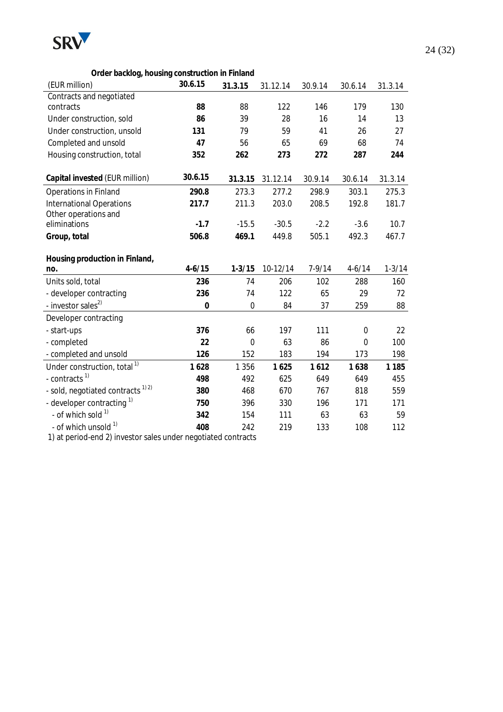

| Order backlog, housing construction in Finland |             |             |          |            |             |            |  |  |  |  |
|------------------------------------------------|-------------|-------------|----------|------------|-------------|------------|--|--|--|--|
| (EUR million)                                  | 30.6.15     | 31.3.15     | 31.12.14 | 30.9.14    | 30.6.14     | 31.3.14    |  |  |  |  |
| Contracts and negotiated                       |             |             |          |            |             |            |  |  |  |  |
| contracts                                      | 88          | 88          | 122      | 146        | 179         | 130        |  |  |  |  |
| Under construction, sold                       | 86          | 39          | 28       | 16         | 14          | 13         |  |  |  |  |
| Under construction, unsold                     | 131         | 79          | 59       | 41         | 26          | 27         |  |  |  |  |
| Completed and unsold                           | 47          | 56          | 65       | 69         | 68          | 74         |  |  |  |  |
| Housing construction, total                    | 352         | 262         | 273      | 272        | 287         | 244        |  |  |  |  |
| Capital invested (EUR million)                 | 30.6.15     | 31.3.15     | 31.12.14 | 30.9.14    | 30.6.14     | 31.3.14    |  |  |  |  |
| Operations in Finland                          | 290.8       | 273.3       | 277.2    | 298.9      | 303.1       | 275.3      |  |  |  |  |
| <b>International Operations</b>                | 217.7       | 211.3       | 203.0    | 208.5      | 192.8       | 181.7      |  |  |  |  |
| Other operations and                           |             |             |          |            |             |            |  |  |  |  |
| eliminations                                   | $-1.7$      | $-15.5$     | $-30.5$  | $-2.2$     | $-3.6$      | 10.7       |  |  |  |  |
| Group, total                                   | 506.8       | 469.1       | 449.8    | 505.1      | 492.3       | 467.7      |  |  |  |  |
| Housing production in Finland,                 |             |             |          |            |             |            |  |  |  |  |
| no.                                            | $4 - 6/15$  | $1 - 3/15$  | 10-12/14 | $7 - 9/14$ | $4 - 6/14$  | $1 - 3/14$ |  |  |  |  |
| Units sold, total                              | 236         | 74          | 206      | 102        | 288         | 160        |  |  |  |  |
| - developer contracting                        | 236         | 74          | 122      | 65         | 29          | 72         |  |  |  |  |
| - investor sales <sup>2)</sup>                 | $\mathbf 0$ | $\mathbf 0$ | 84       | 37         | 259         | 88         |  |  |  |  |
| Developer contracting                          |             |             |          |            |             |            |  |  |  |  |
| - start-ups                                    | 376         | 66          | 197      | 111        | $\mathbf 0$ | 22         |  |  |  |  |
| - completed                                    | 22          | $\mathbf 0$ | 63       | 86         | $\mathbf 0$ | 100        |  |  |  |  |
| - completed and unsold                         | 126         | 152         | 183      | 194        | 173         | 198        |  |  |  |  |
| Under construction, total <sup>1)</sup>        | 1628        | 1 3 5 6     | 1625     | 1612       | 1638        | 1 1 8 5    |  |  |  |  |
| - contracts <sup>1)</sup>                      | 498         | 492         | 625      | 649        | 649         | 455        |  |  |  |  |
| - sold, negotiated contracts <sup>1)2)</sup>   | 380         | 468         | 670      | 767        | 818         | 559        |  |  |  |  |
| - developer contracting <sup>1)</sup>          | 750         | 396         | 330      | 196        | 171         | 171        |  |  |  |  |
| - of which sold 1)                             | 342         | 154         | 111      | 63         | 63          | 59         |  |  |  |  |
| - of which unsold 1)                           | 408         | 242         | 219      | 133        | 108         | 112        |  |  |  |  |

1) at period-end 2) investor sales under negotiated contracts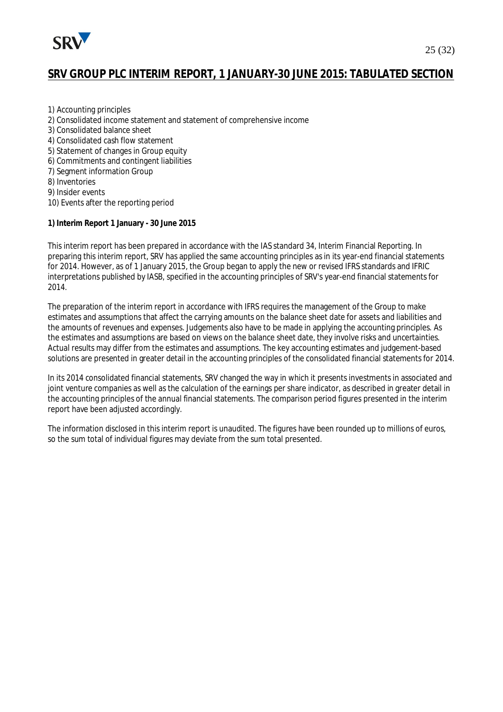

# **SRV GROUP PLC INTERIM REPORT, 1 JANUARY-30 JUNE 2015: TABULATED SECTION**

- 1) Accounting principles
- 2) Consolidated income statement and statement of comprehensive income
- 3) Consolidated balance sheet
- 4) Consolidated cash flow statement
- 5) Statement of changes in Group equity
- 6) Commitments and contingent liabilities
- 7) Segment information Group
- 8) Inventories
- 9) Insider events
- 10) Events after the reporting period
- **1) Interim Report 1 January 30 June 2015**

This interim report has been prepared in accordance with the IAS standard 34, Interim Financial Reporting. In preparing this interim report, SRV has applied the same accounting principles as in its year-end financial statements for 2014. However, as of 1 January 2015, the Group began to apply the new or revised IFRS standards and IFRIC interpretations published by IASB, specified in the accounting principles of SRV's year-end financial statements for 2014.

The preparation of the interim report in accordance with IFRS requires the management of the Group to make estimates and assumptions that affect the carrying amounts on the balance sheet date for assets and liabilities and the amounts of revenues and expenses. Judgements also have to be made in applying the accounting principles. As the estimates and assumptions are based on views on the balance sheet date, they involve risks and uncertainties. Actual results may differ from the estimates and assumptions. The key accounting estimates and judgement-based solutions are presented in greater detail in the accounting principles of the consolidated financial statements for 2014.

In its 2014 consolidated financial statements, SRV changed the way in which it presents investments in associated and joint venture companies as well as the calculation of the earnings per share indicator, as described in greater detail in the accounting principles of the annual financial statements. The comparison period figures presented in the interim report have been adjusted accordingly.

The information disclosed in this interim report is unaudited. The figures have been rounded up to millions of euros, so the sum total of individual figures may deviate from the sum total presented.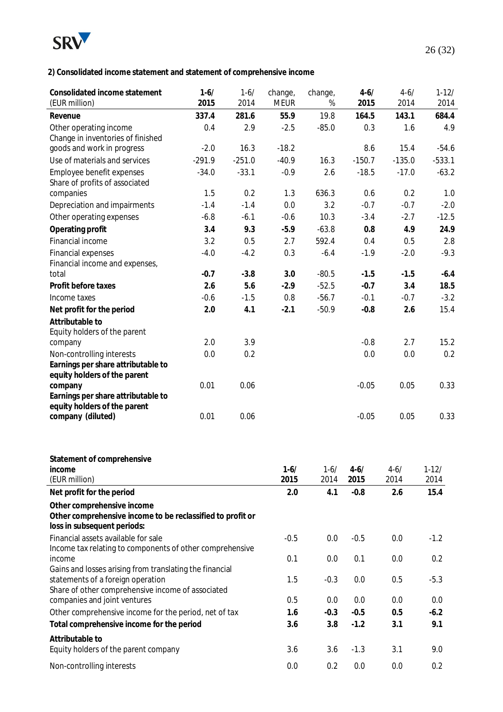

**2) Consolidated income statement and statement of comprehensive income**

| Consolidated income statement<br>(EUR million)                                            | $1 - 6/$<br>2015 | $1 - 6/$<br>2014 | change,<br><b>MEUR</b> | change,<br>%     | $4 - 6/$<br>2015 | $4 - 6/$<br>2014 | $1 - 12/$<br>2014 |
|-------------------------------------------------------------------------------------------|------------------|------------------|------------------------|------------------|------------------|------------------|-------------------|
| Revenue                                                                                   | 337.4            | 281.6            | 55.9                   | 19.8             | 164.5            | 143.1            | 684.4             |
| Other operating income                                                                    | 0.4              | 2.9              | $-2.5$                 | $-85.0$          | 0.3              | 1.6              | 4.9               |
| Change in inventories of finished                                                         |                  |                  |                        |                  |                  |                  |                   |
| goods and work in progress                                                                | $-2.0$           | 16.3             | $-18.2$                |                  | 8.6              | 15.4             | $-54.6$           |
| Use of materials and services                                                             | $-291.9$         | $-251.0$         | $-40.9$                | 16.3             | $-150.7$         | $-135.0$         | $-533.1$          |
| Employee benefit expenses                                                                 | $-34.0$          | $-33.1$          | $-0.9$                 | 2.6              | $-18.5$          | $-17.0$          | $-63.2$           |
| Share of profits of associated                                                            |                  |                  |                        |                  |                  |                  |                   |
| companies                                                                                 | 1.5              | 0.2              | 1.3                    | 636.3            | 0.6              | 0.2              | 1.0               |
| Depreciation and impairments                                                              | $-1.4$           | $-1.4$           | 0.0                    | 3.2              | $-0.7$           | $-0.7$           | $-2.0$            |
| Other operating expenses                                                                  | $-6.8$           | $-6.1$           | $-0.6$                 | 10.3             | $-3.4$           | $-2.7$           | $-12.5$           |
| Operating profit                                                                          | 3.4              | 9.3              | $-5.9$                 | $-63.8$          | 0.8              | 4.9              | 24.9              |
| Financial income                                                                          | 3.2              | 0.5              | 2.7                    | 592.4            | 0.4              | 0.5              | 2.8               |
| Financial expenses                                                                        | $-4.0$           | $-4.2$           | 0.3                    | $-6.4$           | $-1.9$           | $-2.0$           | $-9.3$            |
| Financial income and expenses,                                                            |                  |                  |                        |                  |                  |                  |                   |
| total                                                                                     | $-0.7$           | $-3.8$           | 3.0                    | $-80.5$          | $-1.5$           | $-1.5$           | $-6.4$            |
| Profit before taxes                                                                       | 2.6              | 5.6              | $-2.9$                 | $-52.5$          | $-0.7$           | 3.4              | 18.5              |
| Income taxes                                                                              | $-0.6$           | $-1.5$           | 0.8                    | $-56.7$          | $-0.1$           | $-0.7$           | $-3.2$            |
| Net profit for the period                                                                 | 2.0              | 4.1              | $-2.1$                 | $-50.9$          | $-0.8$           | 2.6              | 15.4              |
| Attributable to                                                                           |                  |                  |                        |                  |                  |                  |                   |
| Equity holders of the parent                                                              |                  |                  |                        |                  |                  |                  |                   |
| company                                                                                   | 2.0              | 3.9              |                        |                  | $-0.8$           | 2.7              | 15.2              |
| Non-controlling interests                                                                 | 0.0              | 0.2              |                        |                  | 0.0              | 0.0              | 0.2               |
| Earnings per share attributable to                                                        |                  |                  |                        |                  |                  |                  |                   |
| equity holders of the parent                                                              |                  |                  |                        |                  |                  |                  |                   |
| company<br>Earnings per share attributable to                                             | 0.01             | 0.06             |                        |                  | $-0.05$          | 0.05             | 0.33              |
| equity holders of the parent                                                              |                  |                  |                        |                  |                  |                  |                   |
| company (diluted)                                                                         | 0.01             | 0.06             |                        |                  | $-0.05$          | 0.05             | 0.33              |
|                                                                                           |                  |                  |                        |                  |                  |                  |                   |
|                                                                                           |                  |                  |                        |                  |                  |                  |                   |
| Statement of comprehensive                                                                |                  |                  |                        |                  |                  |                  |                   |
| income<br>(EUR million)                                                                   |                  |                  | $1 - 6/$<br>2015       | $1 - 6/$<br>2014 | $4 - 6/$<br>2015 | $4 - 6/$<br>2014 | 1-12/<br>2014     |
| Net profit for the period                                                                 |                  |                  | 2.0                    | 4.1              | $-0.8$           | 2.6              | 15.4              |
|                                                                                           |                  |                  |                        |                  |                  |                  |                   |
| Other comprehensive income                                                                |                  |                  |                        |                  |                  |                  |                   |
| Other comprehensive income to be reclassified to profit or<br>loss in subsequent periods: |                  |                  |                        |                  |                  |                  |                   |
| Financial assets available for sale                                                       |                  |                  | $-0.5$                 | 0.0              | $-0.5$           | 0.0              | $-1.2$            |
| Income tax relating to components of other comprehensive                                  |                  |                  |                        |                  |                  |                  |                   |
| income                                                                                    |                  |                  | 0.1                    | 0.0              | 0.1              | $0.0\,$          | 0.2               |
| Gains and losses arising from translating the financial                                   |                  |                  |                        |                  |                  |                  |                   |
| statements of a foreign operation                                                         |                  |                  | 1.5                    | $-0.3$           | 0.0              | 0.5              | $-5.3$            |
| Share of other comprehensive income of associated                                         |                  |                  |                        |                  |                  |                  |                   |
| companies and joint ventures                                                              |                  |                  | 0.5                    | 0.0              | 0.0              | 0.0              | 0.0               |
| Other comprehensive income for the period, net of tax                                     |                  |                  | 1.6                    | $-0.3$           | $-0.5$           | 0.5              | $-6.2$            |
| Total comprehensive income for the period                                                 |                  |                  | 3.6                    | 3.8              | $-1.2$           | 3.1              | 9.1               |
| Attributable to                                                                           |                  |                  |                        |                  |                  |                  |                   |
| Equity holders of the parent company                                                      |                  |                  | 3.6                    | 3.6              | $-1.3$           | 3.1              | 9.0               |
| Non-controlling interests                                                                 |                  |                  | 0.0                    | 0.2              | 0.0              | 0.0              | 0.2               |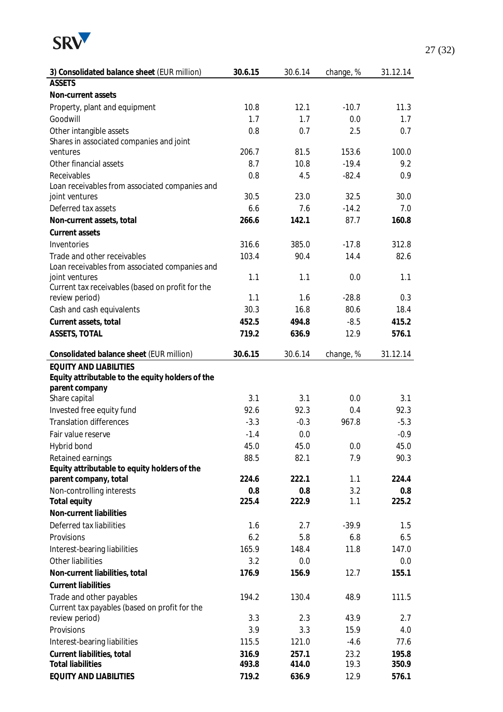

| 3) Consolidated balance sheet (EUR million)      | 30.6.15 | 30.6.14 | change, % | 31.12.14 |
|--------------------------------------------------|---------|---------|-----------|----------|
| <b>ASSETS</b>                                    |         |         |           |          |
| Non-current assets                               |         |         |           |          |
| Property, plant and equipment                    | 10.8    | 12.1    | $-10.7$   | 11.3     |
| Goodwill                                         | 1.7     | 1.7     | 0.0       | 1.7      |
| Other intangible assets                          | 0.8     | 0.7     | 2.5       | 0.7      |
| Shares in associated companies and joint         |         |         |           |          |
| ventures                                         | 206.7   | 81.5    | 153.6     | 100.0    |
| Other financial assets                           | 8.7     | 10.8    | $-19.4$   | 9.2      |
| Receivables                                      | 0.8     | 4.5     | $-82.4$   | 0.9      |
| Loan receivables from associated companies and   |         |         |           |          |
| joint ventures                                   | 30.5    | 23.0    | 32.5      | 30.0     |
| Deferred tax assets                              | 6.6     | 7.6     | $-14.2$   | 7.0      |
| Non-current assets, total                        | 266.6   | 142.1   | 87.7      | 160.8    |
| Current assets                                   |         |         |           |          |
| Inventories                                      | 316.6   | 385.0   | $-17.8$   | 312.8    |
| Trade and other receivables                      | 103.4   | 90.4    | 14.4      | 82.6     |
| Loan receivables from associated companies and   |         |         |           |          |
| joint ventures                                   | 1.1     | 1.1     | 0.0       | 1.1      |
| Current tax receivables (based on profit for the |         |         |           | 0.3      |
| review period)                                   | 1.1     | 1.6     | $-28.8$   |          |
| Cash and cash equivalents                        | 30.3    | 16.8    | 80.6      | 18.4     |
| Current assets, total                            | 452.5   | 494.8   | $-8.5$    | 415.2    |
| ASSETS, TOTAL                                    | 719.2   | 636.9   | 12.9      | 576.1    |
| Consolidated balance sheet (EUR million)         | 30.6.15 | 30.6.14 | change, % | 31.12.14 |
| <b>EQUITY AND LIABILITIES</b>                    |         |         |           |          |
| Equity attributable to the equity holders of the |         |         |           |          |
| parent company                                   |         |         |           |          |
| Share capital                                    | 3.1     | 3.1     | 0.0       | 3.1      |
| Invested free equity fund                        | 92.6    | 92.3    | 0.4       | 92.3     |
| <b>Translation differences</b>                   | $-3.3$  | $-0.3$  | 967.8     | $-5.3$   |
| Fair value reserve                               | $-1.4$  | 0.0     |           | $-0.9$   |
| Hybrid bond                                      | 45.0    | 45.0    | 0.0       | 45.0     |
| Retained earnings                                | 88.5    | 82.1    | 7.9       | 90.3     |
| Equity attributable to equity holders of the     |         |         |           |          |
| parent company, total                            | 224.6   | 222.1   | 1.1       | 224.4    |
| Non-controlling interests                        | 0.8     | 0.8     | 3.2       | 0.8      |
| Total equity                                     | 225.4   | 222.9   | 1.1       | 225.2    |
| Non-current liabilities                          |         |         |           |          |
| Deferred tax liabilities                         | 1.6     | 2.7     | $-39.9$   | 1.5      |
| Provisions                                       | 6.2     | 5.8     | 6.8       | 6.5      |
| Interest-bearing liabilities                     | 165.9   | 148.4   | 11.8      | 147.0    |
| Other liabilities                                | 3.2     | 0.0     |           | 0.0      |
| Non-current liabilities, total                   | 176.9   | 156.9   | 12.7      | 155.1    |
| <b>Current liabilities</b>                       |         |         |           |          |
| Trade and other payables                         | 194.2   | 130.4   | 48.9      | 111.5    |
| Current tax payables (based on profit for the    |         |         |           |          |
| review period)                                   | 3.3     | 2.3     | 43.9      | 2.7      |
| Provisions                                       | 3.9     | 3.3     | 15.9      | 4.0      |
| Interest-bearing liabilities                     | 115.5   | 121.0   | $-4.6$    | 77.6     |
| Current liabilities, total                       | 316.9   | 257.1   | 23.2      | 195.8    |
| <b>Total liabilities</b>                         | 493.8   | 414.0   | 19.3      | 350.9    |
| EQUITY AND LIABILITIES                           | 719.2   | 636.9   | 12.9      | 576.1    |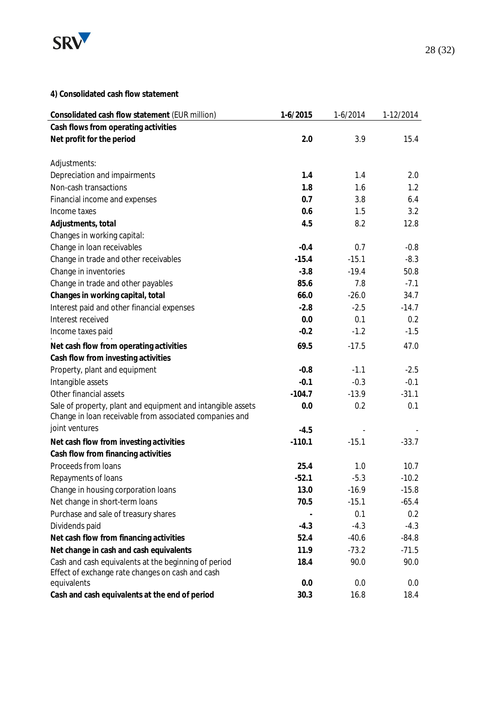

| Consolidated cash flow statement (EUR million)              | 1-6/2015 | $1-6/2014$ | 1-12/2014 |
|-------------------------------------------------------------|----------|------------|-----------|
| Cash flows from operating activities                        |          |            |           |
| Net profit for the period                                   | 2.0      | 3.9        | 15.4      |
|                                                             |          |            |           |
| Adjustments:                                                |          |            |           |
| Depreciation and impairments                                | 1.4      | 1.4        | 2.0       |
| Non-cash transactions                                       | 1.8      | 1.6        | 1.2       |
| Financial income and expenses                               | 0.7      | 3.8        | 6.4       |
| Income taxes                                                | 0.6      | 1.5        | 3.2       |
| Adjustments, total                                          | 4.5      | 8.2        | 12.8      |
| Changes in working capital:                                 |          |            |           |
| Change in loan receivables                                  | $-0.4$   | 0.7        | $-0.8$    |
| Change in trade and other receivables                       | $-15.4$  | $-15.1$    | $-8.3$    |
| Change in inventories                                       | $-3.8$   | $-19.4$    | 50.8      |
| Change in trade and other payables                          | 85.6     | 7.8        | $-7.1$    |
| Changes in working capital, total                           | 66.0     | $-26.0$    | 34.7      |
| Interest paid and other financial expenses                  | $-2.8$   | $-2.5$     | $-14.7$   |
| Interest received                                           | 0.0      | 0.1        | 0.2       |
| Income taxes paid                                           | $-0.2$   | $-1.2$     | $-1.5$    |
| Net cash flow from operating activities                     | 69.5     | $-17.5$    | 47.0      |
| Cash flow from investing activities                         |          |            |           |
| Property, plant and equipment                               | $-0.8$   | $-1.1$     | $-2.5$    |
| Intangible assets                                           | $-0.1$   | $-0.3$     | $-0.1$    |
| Other financial assets                                      | $-104.7$ | $-13.9$    | $-31.1$   |
| Sale of property, plant and equipment and intangible assets | 0.0      | 0.2        | 0.1       |
| Change in loan receivable from associated companies and     |          |            |           |
| joint ventures                                              | $-4.5$   |            |           |
| Net cash flow from investing activities                     | $-110.1$ | $-15.1$    | $-33.7$   |
| Cash flow from financing activities                         |          |            |           |
| Proceeds from loans                                         | 25.4     | 1.0        | 10.7      |
| Repayments of loans                                         | $-52.1$  | $-5.3$     | $-10.2$   |
| Change in housing corporation loans                         | 13.0     | $-16.9$    | $-15.8$   |
| Net change in short-term loans                              | 70.5     | $-15.1$    | $-65.4$   |
| Purchase and sale of treasury shares                        |          | 0.1        | 0.2       |
| Dividends paid                                              | $-4.3$   | $-4.3$     | $-4.3$    |
| Net cash flow from financing activities                     | 52.4     | $-40.6$    | $-84.8$   |
| Net change in cash and cash equivalents                     | 11.9     | $-73.2$    | $-71.5$   |
| Cash and cash equivalents at the beginning of period        | 18.4     | 90.0       | 90.0      |
| Effect of exchange rate changes on cash and cash            |          |            |           |
| equivalents                                                 | 0.0      | 0.0        | 0.0       |
| Cash and cash equivalents at the end of period              | 30.3     | 16.8       | 18.4      |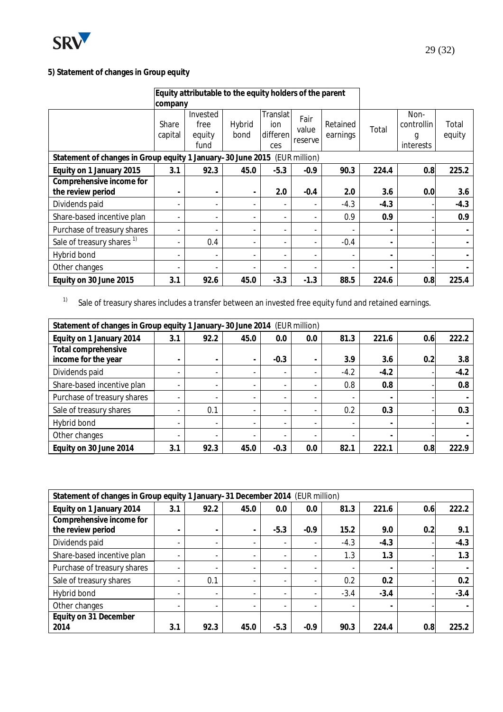

# **5) Statement of changes in Group equity**

| Equity attributable to the equity holders of the parent                   |                              |                                    |                          |                                    |                          |                      |                          |                                      |                 |
|---------------------------------------------------------------------------|------------------------------|------------------------------------|--------------------------|------------------------------------|--------------------------|----------------------|--------------------------|--------------------------------------|-----------------|
|                                                                           | company                      |                                    |                          |                                    |                          |                      |                          |                                      |                 |
|                                                                           | Share<br>capital             | Invested<br>free<br>equity<br>fund | Hybrid<br>bond           | Translat<br>ion<br>differen<br>ces | Fair<br>value<br>reserve | Retained<br>earnings | Total                    | Non-<br>controllin<br>g<br>interests | Total<br>equity |
| Statement of changes in Group equity 1 January-30 June 2015 (EUR million) |                              |                                    |                          |                                    |                          |                      |                          |                                      |                 |
| Equity on 1 January 2015                                                  | 3.1                          | 92.3                               | 45.0                     | $-5.3$                             | $-0.9$                   | 90.3                 | 224.4                    | 0.8                                  | 225.2           |
| Comprehensive income for<br>the review period                             | $\qquad \qquad \blacksquare$ |                                    | $\overline{\phantom{a}}$ | 2.0                                | $-0.4$                   | 2.0                  | 3.6                      | 0.0                                  | 3.6             |
| Dividends paid                                                            |                              |                                    | $\overline{\phantom{a}}$ |                                    |                          | $-4.3$               | $-4.3$                   |                                      | $-4.3$          |
| Share-based incentive plan                                                | $\qquad \qquad \blacksquare$ |                                    | $\overline{\phantom{a}}$ |                                    |                          | 0.9                  | 0.9                      |                                      | 0.9             |
| Purchase of treasury shares                                               |                              |                                    | $\overline{\phantom{a}}$ |                                    |                          |                      | $\overline{\phantom{a}}$ |                                      |                 |
| Sale of treasury shares <sup>1)</sup>                                     |                              | 0.4                                | $\overline{\phantom{a}}$ |                                    |                          | $-0.4$               | $\overline{\phantom{a}}$ |                                      |                 |
| Hybrid bond                                                               |                              |                                    | $\overline{\phantom{a}}$ |                                    |                          |                      | $\overline{\phantom{a}}$ |                                      |                 |
| Other changes                                                             |                              |                                    | $\overline{\phantom{a}}$ |                                    |                          |                      | $\overline{\phantom{a}}$ |                                      |                 |
| Equity on 30 June 2015                                                    | 3.1                          | 92.6                               | 45.0                     | $-3.3$                             | $-1.3$                   | 88.5                 | 224.6                    | 0.8                                  | 225.4           |

<sup>1)</sup> Sale of treasury shares includes a transfer between an invested free equity fund and retained earnings.

| Statement of changes in Group equity 1 January-30 June 2014 (EUR million) |                          |                          |                          |                          |     |                          |                          |     |        |
|---------------------------------------------------------------------------|--------------------------|--------------------------|--------------------------|--------------------------|-----|--------------------------|--------------------------|-----|--------|
| Equity on 1 January 2014                                                  | 3.1                      | 92.2                     | 45.0                     | 0.0                      | 0.0 | 81.3                     | 221.6                    | 0.6 | 222.2  |
| Total comprehensive<br>income for the year                                | -                        | $\overline{\phantom{a}}$ | -                        | $-0.3$                   | -   | 3.9                      | 3.6                      | 0.2 | 3.8    |
| Dividends paid                                                            | -                        | $\overline{\phantom{a}}$ | $\overline{\phantom{0}}$ | $\overline{\phantom{a}}$ |     | $-4.2$                   | $-4.2$                   |     | $-4.2$ |
| Share-based incentive plan                                                |                          | $\overline{\phantom{a}}$ | $\overline{\phantom{0}}$ | $\overline{\phantom{a}}$ |     | 0.8                      | 0.8                      |     | 0.8    |
| Purchase of treasury shares                                               | $\overline{\phantom{a}}$ | $\overline{\phantom{a}}$ | $\overline{\phantom{0}}$ |                          |     | $\blacksquare$           | $\blacksquare$           |     |        |
| Sale of treasury shares                                                   |                          | 0.1                      | $\overline{\phantom{0}}$ |                          |     | 0.2                      | 0.3                      |     | 0.3    |
| Hybrid bond                                                               |                          | $\overline{\phantom{a}}$ | $\overline{\phantom{0}}$ | $\overline{\phantom{a}}$ |     | $\blacksquare$           | $\overline{\phantom{a}}$ |     |        |
| Other changes                                                             |                          |                          | $\overline{\phantom{0}}$ |                          |     | $\overline{\phantom{a}}$ | $\overline{\phantom{a}}$ |     |        |
| Equity on 30 June 2014                                                    | 3.1                      | 92.3                     | 45.0                     | $-0.3$                   | 0.0 | 82.1                     | 222.1                    | 0.8 | 222.9  |

| Statement of changes in Group equity 1 January-31 December 2014 (EUR million) |                          |                          |                          |                          |        |        |                          |     |        |
|-------------------------------------------------------------------------------|--------------------------|--------------------------|--------------------------|--------------------------|--------|--------|--------------------------|-----|--------|
| Equity on 1 January 2014                                                      | 3.1                      | 92.2                     | 45.0                     | $0.0\,$                  | 0.0    | 81.3   | 221.6                    | 0.6 | 222.2  |
| Comprehensive income for                                                      |                          |                          |                          |                          |        |        |                          |     |        |
| the review period                                                             | ۰                        | $\overline{\phantom{0}}$ | $\overline{\phantom{0}}$ | $-5.3$                   | $-0.9$ | 15.2   | 9.0                      | 0.2 | 9.1    |
| Dividends paid                                                                | $\overline{\phantom{a}}$ | $\blacksquare$           | $\overline{\phantom{0}}$ | $\overline{\phantom{a}}$ | ۰      | $-4.3$ | $-4.3$                   |     | $-4.3$ |
| Share-based incentive plan                                                    |                          | $\overline{\phantom{a}}$ | $\blacksquare$           |                          |        | 1.3    | 1.3                      |     | 1.3    |
| Purchase of treasury shares                                                   | -                        | $\overline{\phantom{a}}$ | $\overline{\phantom{a}}$ |                          |        | ۰      | $\overline{\phantom{a}}$ |     |        |
| Sale of treasury shares                                                       |                          | 0.1                      | $\overline{\phantom{a}}$ | $\overline{\phantom{a}}$ |        | 0.2    | 0.2                      |     | 0.2    |
| Hybrid bond                                                                   | $\overline{\phantom{a}}$ | $\overline{\phantom{a}}$ | $\overline{\phantom{0}}$ | ۰.                       | ۰      | $-3.4$ | $-3.4$                   |     | $-3.4$ |
| Other changes                                                                 |                          |                          | $\overline{\phantom{0}}$ |                          |        |        | $\overline{\phantom{a}}$ |     |        |
| Equity on 31 December                                                         |                          |                          |                          |                          |        |        |                          |     |        |
| 2014                                                                          | 3.1                      | 92.3                     | 45.0                     | $-5.3$                   | $-0.9$ | 90.3   | 224.4                    | 0.8 | 225.2  |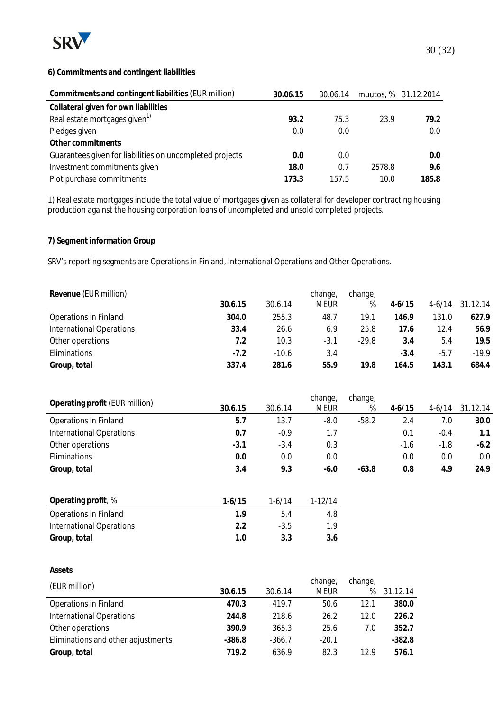

#### **6) Commitments and contingent liabilities**

| Commitments and contingent liabilities (EUR million)     | 30.06.15 | 30.06.14 |        | muutos, % 31.12.2014 |
|----------------------------------------------------------|----------|----------|--------|----------------------|
| Collateral given for own liabilities                     |          |          |        |                      |
| Real estate mortgages given <sup>1)</sup>                | 93.2     | 75.3     | 23.9   | 79.2                 |
| Pledges given                                            | 0.0      | 0.0      |        | 0.0                  |
| Other commitments                                        |          |          |        |                      |
| Guarantees given for liabilities on uncompleted projects | 0.0      | 0.0      |        | 0.0                  |
| Investment commitments given                             | 18.0     | 0.7      | 2578.8 | 9.6                  |
| Plot purchase commitments                                | 173.3    | 157.5    | 10.0   | 185.8                |

1) Real estate mortgages include the total value of mortgages given as collateral for developer contracting housing production against the housing corporation loans of uncompleted and unsold completed projects.

**7) Segment information Group**

SRV's reporting segments are Operations in Finland, International Operations and Other Operations.

| Revenue (EUR million)           |         |         | change, | change, |            |            |          |
|---------------------------------|---------|---------|---------|---------|------------|------------|----------|
|                                 | 30.6.15 | 30.6.14 | meur    | %       | $4 - 6/15$ | $4 - 6/14$ | 31.12.14 |
| Operations in Finland           | 304.0   | 255.3   | 48.7    | 19.1    | 146.9      | 131.0      | 627.9    |
| <b>International Operations</b> | 33.4    | 26.6    | 6.9     | 25.8    | 17.6       | 12.4       | 56.9     |
| Other operations                | 7.2     | 10.3    | $-3.1$  | $-29.8$ | 3.4        | 5.4        | 19.5     |
| Eliminations                    | $-7.2$  | $-10.6$ | 3.4     |         | $-3.4$     | $-5.7$     | $-19.9$  |
| Group, total                    | 337.4   | 281.6   | 55.9    | 19.8    | 164.5      | 143.1      | 684.4    |

|                                 |         |         | change,     | change, |            |          |          |
|---------------------------------|---------|---------|-------------|---------|------------|----------|----------|
| Operating profit (EUR million)  | 30.6.15 | 30.6.14 | <b>MEUR</b> | %       | $4 - 6/15$ | $4-6/14$ | 31.12.14 |
| Operations in Finland           | 5.7     | 13.7    | $-8.0$      | $-58.2$ | 2.4        | 7.0      | 30.0     |
| <b>International Operations</b> | 0.7     | $-0.9$  | 1.7         |         | 0.1        | $-0.4$   | 1.1      |
| Other operations                | -3.1    | $-3.4$  | 0.3         |         | $-1.6$     | $-1.8$   | $-6.2$   |
| Eliminations                    | 0.0     | 0.0     | 0.0         |         | 0.0        | 0.0      | $0.0\,$  |
| Group, total                    | 3.4     | 9.3     | $-6.0$      | $-63.8$ | 0.8        | 4.9      | 24.9     |

| Operating profit, %          | $1-6/15$ | $1-6/14$ | $1-12/14$ |
|------------------------------|----------|----------|-----------|
| <b>Operations in Finland</b> | 1 Q      | 54       | 4.8       |
| International Operations     | 22       | $-3.5$   | 1 Q       |
| Group, total                 | 1 N      | 3.3      | 3.6       |

#### **Assets**

| (EUR million)                      |          |          | change,     | change, |          |
|------------------------------------|----------|----------|-------------|---------|----------|
|                                    | 30.6.15  | 30.6.14  | <b>MEUR</b> | %       | 31.12.14 |
| Operations in Finland              | 470.3    | 419.7    | 50.6        | 12.1    | 380.0    |
| <b>International Operations</b>    | 244.8    | 218.6    | 26.2        | 12.0    | 226.2    |
| Other operations                   | 390.9    | 365.3    | 25.6        | 7.0     | 352.7    |
| Eliminations and other adjustments | $-386.8$ | $-366.7$ | $-20.1$     |         | $-382.8$ |
| Group, total                       | 719.2    | 636.9    | 82.3        | 12.9    | 576.1    |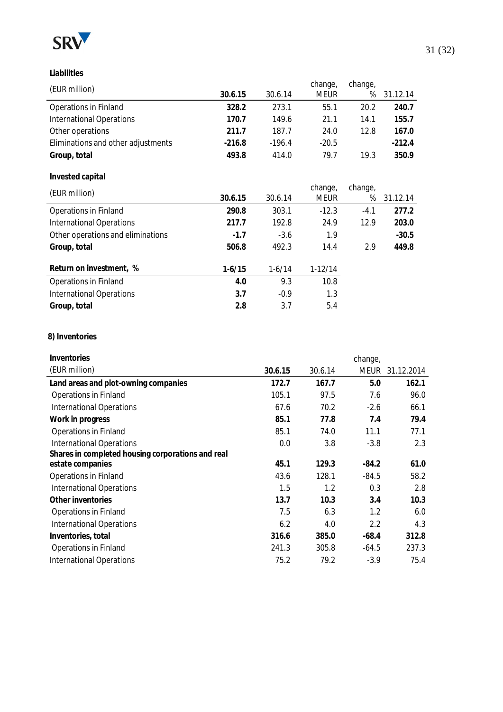

**Liabilities**

|          |          | change,     | change, |          |
|----------|----------|-------------|---------|----------|
| 30.6.15  | 30.6.14  | <b>MEUR</b> | %       | 31.12.14 |
| 328.2    | 273.1    | 55.1        | 20.2    | 240.7    |
| 170.7    | 149.6    | 21.1        | 14.1    | 155.7    |
| 211.7    | 187.7    | 24.0        | 12.8    | 167.0    |
| $-216.8$ | $-196.4$ | $-20.5$     |         | $-212.4$ |
| 493.8    | 414.0    | 79.7        | 19.3    | 350.9    |
|          |          |             |         |          |

## **Invested capital**

| (EUR million)                     |          |          | change,   | change, |          |
|-----------------------------------|----------|----------|-----------|---------|----------|
|                                   | 30.6.15  | 30.6.14  | meur      | %       | 31.12.14 |
| Operations in Finland             | 290.8    | 303.1    | $-12.3$   | $-4.1$  | 277.2    |
| <b>International Operations</b>   | 217.7    | 192.8    | 24.9      | 12.9    | 203.0    |
| Other operations and eliminations | $-1.7$   | $-3.6$   | 1.9       |         | $-30.5$  |
| Group, total                      | 506.8    | 492.3    | 14.4      | 2.9     | 449.8    |
| Return on investment, %           | $1-6/15$ | $1-6/14$ | $1-12/14$ |         |          |
| Operations in Finland             | 4.0      | 9.3      | 10.8      |         |          |
| <b>International Operations</b>   | 3.7      | $-0.9$   | 1.3       |         |          |
| Group, total                      | 2.8      | 3.7      | 5.4       |         |          |
|                                   |          |          |           |         |          |

#### **8) Inventories**

| Inventories                                       |         |         | change, |            |
|---------------------------------------------------|---------|---------|---------|------------|
| (EUR million)                                     | 30.6.15 | 30.6.14 | meur    | 31.12.2014 |
| Land areas and plot-owning companies              | 172.7   | 167.7   | 5.0     | 162.1      |
| <b>Operations in Finland</b>                      | 105.1   | 97.5    | 7.6     | 96.0       |
| <b>International Operations</b>                   | 67.6    | 70.2    | $-2.6$  | 66.1       |
| Work in progress                                  | 85.1    | 77.8    | 7.4     | 79.4       |
| <b>Operations in Finland</b>                      | 85.1    | 74.0    | 11.1    | 77.1       |
| <b>International Operations</b>                   | 0.0     | 3.8     | $-3.8$  | 2.3        |
| Shares in completed housing corporations and real |         |         |         |            |
| estate companies                                  | 45.1    | 129.3   | $-84.2$ | 61.0       |
| Operations in Finland                             | 43.6    | 128.1   | $-84.5$ | 58.2       |
| <b>International Operations</b>                   | 1.5     | 1.2     | 0.3     | 2.8        |
| Other inventories                                 | 13.7    | 10.3    | 3.4     | 10.3       |
| Operations in Finland                             | 7.5     | 6.3     | 1.2     | 6.0        |
| <b>International Operations</b>                   | 6.2     | 4.0     | 2.2     | 4.3        |
| Inventories, total                                | 316.6   | 385.0   | $-68.4$ | 312.8      |
| Operations in Finland                             | 241.3   | 305.8   | $-64.5$ | 237.3      |
| <b>International Operations</b>                   | 75.2    | 79.2    | $-3.9$  | 75.4       |